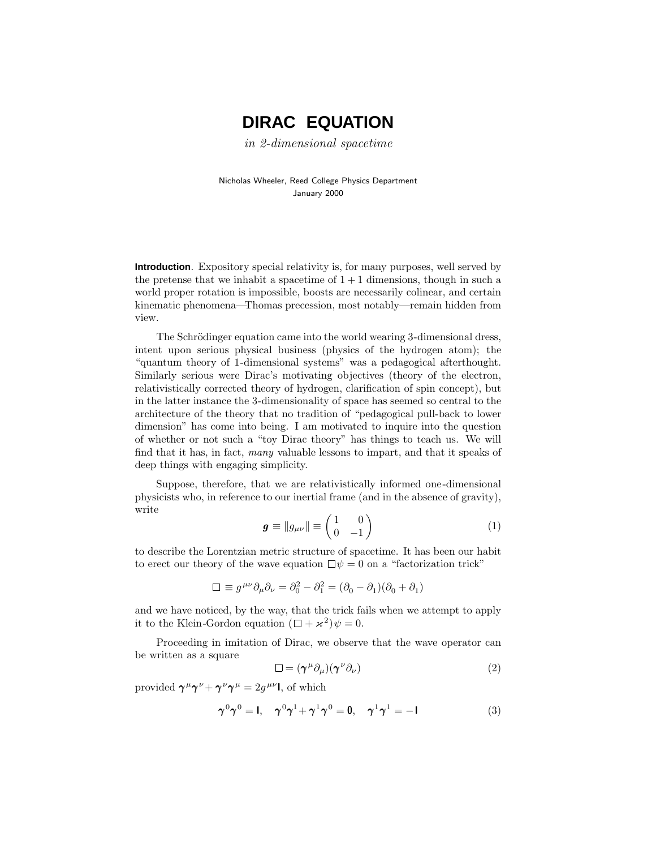# **DIRAC EQUATION**

in 2-dimensional spacetime

Nicholas Wheeler, Reed College Physics Department January 2000

**Introduction**. Expository special relativity is, for many purposes, well served by the pretense that we inhabit a spacetime of  $1+1$  dimensions, though in such a world proper rotation is impossible, boosts are necessarily colinear, and certain kinematic phenomena—Thomas precession, most notably—remain hidden from view.

The Schrödinger equation came into the world wearing 3-dimensional dress, intent upon serious physical business (physics of the hydrogen atom); the "quantum theory of 1-dimensional systems" was a pedagogical afterthought. Similarly serious were Dirac's motivating objectives (theory of the electron, relativistically corrected theory of hydrogen, clarification of spin concept), but in the latter instance the 3-dimensionality of space has seemed so central to the architecture of the theory that no tradition of "pedagogical pull-back to lower dimension" has come into being. I am motivated to inquire into the question of whether or not such a "toy Dirac theory" has things to teach us. We will find that it has, in fact, many valuable lessons to impart, and that it speaks of deep things with engaging simplicity.

Suppose, therefore, that we are relativistically informed one-dimensional physicists who, in reference to our inertial frame (and in the absence of gravity), write

$$
\boldsymbol{g} \equiv ||g_{\mu\nu}|| \equiv \begin{pmatrix} 1 & 0 \\ 0 & -1 \end{pmatrix} \tag{1}
$$

to describe the Lorentzian metric structure of spacetime. It has been our habit to erect our theory of the wave equation  $\Box \psi = 0$  on a "factorization trick"

$$
\Box \equiv g^{\mu\nu}\partial_{\mu}\partial_{\nu} = \partial_0^2 - \partial_1^2 = (\partial_0 - \partial_1)(\partial_0 + \partial_1)
$$

and we have noticed, by the way, that the trick fails when we attempt to apply it to the Klein-Gordon equation  $(\Box + \varkappa^2)\psi = 0$ .

Proceeding in imitation of Dirac, we observe that the wave operator can be written as a square

$$
\Box = (\gamma^{\mu} \partial_{\mu}) (\gamma^{\nu} \partial_{\nu})
$$
 (2)

provided  $\gamma^{\mu}\gamma^{\nu}+\gamma^{\nu}\gamma^{\mu}=2q^{\mu\nu}$ , of which

$$
\gamma^0 \gamma^0 = \mathbf{I}, \quad \gamma^0 \gamma^1 + \gamma^1 \gamma^0 = \mathbf{0}, \quad \gamma^1 \gamma^1 = -\mathbf{I}
$$
 (3)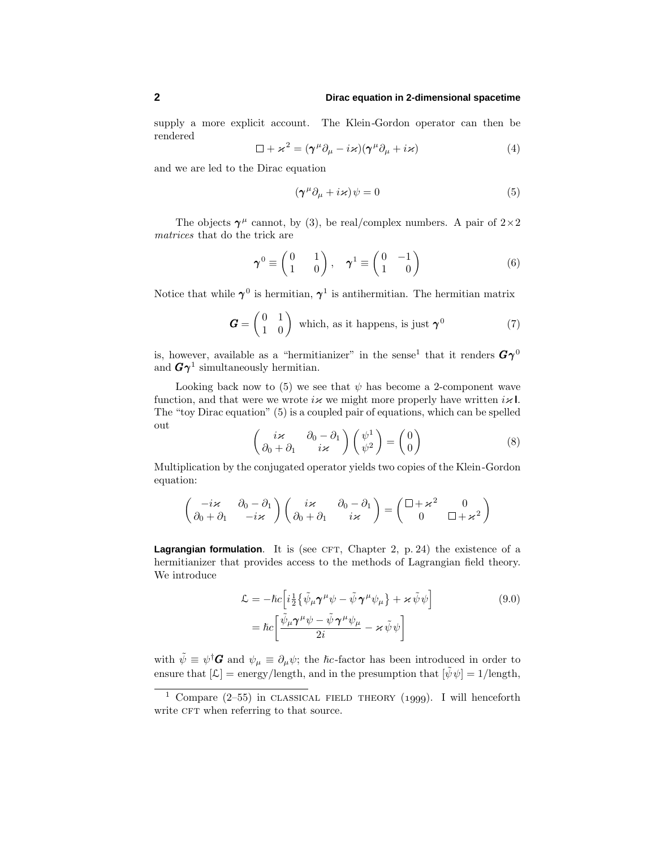supply a more explicit account. The Klein-Gordon operator can then be rendered

$$
\Box + \varkappa^2 = (\gamma^\mu \partial_\mu - i\varkappa)(\gamma^\mu \partial_\mu + i\varkappa)
$$
 (4)

and we are led to the Dirac equation

$$
(\gamma^{\mu}\partial_{\mu} + i\varkappa)\psi = 0 \tag{5}
$$

The objects  $\gamma^{\mu}$  cannot, by (3), be real/complex numbers. A pair of  $2\times 2$ matrices that do the trick are

$$
\boldsymbol{\gamma}^0 \equiv \begin{pmatrix} 0 & 1 \\ 1 & 0 \end{pmatrix}, \quad \boldsymbol{\gamma}^1 \equiv \begin{pmatrix} 0 & -1 \\ 1 & 0 \end{pmatrix} \tag{6}
$$

Notice that while  $\gamma^0$  is hermitian,  $\gamma^1$  is antihermitian. The hermitian matrix

$$
\boldsymbol{G} = \begin{pmatrix} 0 & 1 \\ 1 & 0 \end{pmatrix}
$$
 which, as it happens, is just  $\boldsymbol{\gamma}^0$  (7)

is, however, available as a "hermitianizer" in the sense<sup>1</sup> that it renders  $G\gamma^0$ and  $G\gamma^1$  simultaneously hermitian.

Looking back now to (5) we see that  $\psi$  has become a 2-component wave function, and that were we wrote  $i\kappa$  we might more properly have written  $i\kappa$ **l**. The "toy Dirac equation" (5) is a coupled pair of equations, which can be spelled out

$$
\begin{pmatrix}\ni\varkappa & \partial_0 - \partial_1 \\
\partial_0 + \partial_1 & i\varkappa\n\end{pmatrix}\begin{pmatrix}\psi^1 \\
\psi^2\n\end{pmatrix} = \begin{pmatrix}\n0 \\
0\n\end{pmatrix}
$$
\n(8)

Multiplication by the conjugated operator yields two copies of the Klein-Gordon equation:

$$
\begin{pmatrix} -i\varkappa & \partial_0 - \partial_1 \\ \partial_0 + \partial_1 & -i\varkappa \end{pmatrix} \begin{pmatrix} i\varkappa & \partial_0 - \partial_1 \\ \partial_0 + \partial_1 & i\varkappa \end{pmatrix} = \begin{pmatrix} \Box + \varkappa^2 & 0 \\ 0 & \Box + \varkappa^2 \end{pmatrix}
$$

**Lagrangian formulation**. It is (see CFT, Chapter 2, p. 24) the existence of a hermitianizer that provides access to the methods of Lagrangian field theory. We introduce

$$
\mathcal{L} = -\hbar c \left[ i \frac{1}{2} \{ \tilde{\psi}_{\mu} \gamma^{\mu} \psi - \tilde{\psi} \gamma^{\mu} \psi_{\mu} \} + \varkappa \tilde{\psi} \psi \right] \n= \hbar c \left[ \frac{\tilde{\psi}_{\mu} \gamma^{\mu} \psi - \tilde{\psi} \gamma^{\mu} \psi_{\mu}}{2i} - \varkappa \tilde{\psi} \psi \right]
$$
\n(9.0)

with  $\tilde{\psi} \equiv \psi^{\dagger} \mathbf{G}$  and  $\psi_{\mu} \equiv \partial_{\mu} \psi$ ; the *fic*-factor has been introduced in order to ensure that  $[\mathcal{L}] = \text{energy/length}$ , and in the presumption that  $[\tilde{\psi}\psi] = 1/\text{length}$ ,

<sup>&</sup>lt;sup>1</sup> Compare  $(2-55)$  in CLASSICAL FIELD THEORY (1999). I will henceforth write CFT when referring to that source.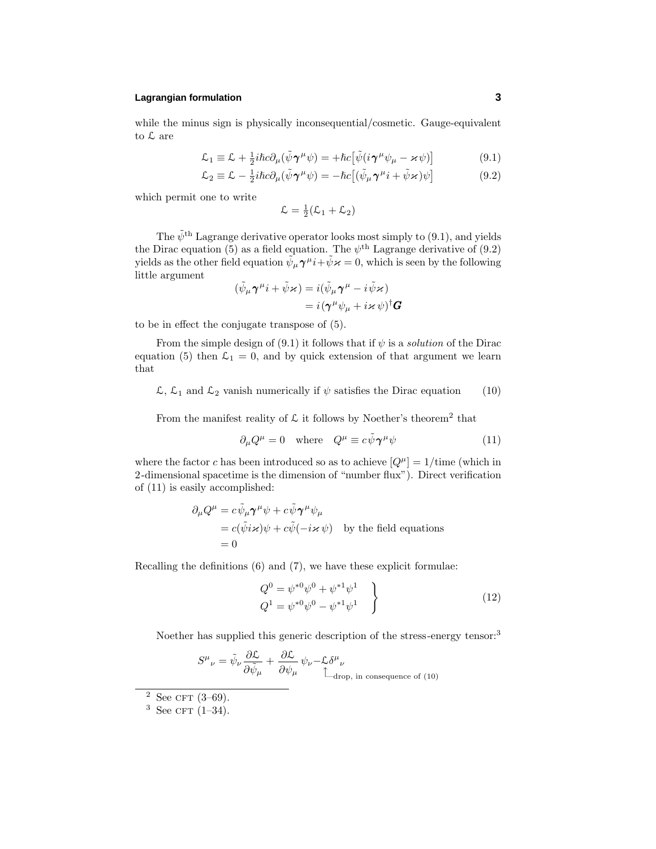# **Lagrangian formulation 3**

while the minus sign is physically inconsequential/cosmetic. Gauge-equivalent to L are

$$
\mathcal{L}_1 \equiv \mathcal{L} + \frac{1}{2}i\hbar c \partial_\mu (\tilde{\psi}\gamma^\mu \psi) = +\hbar c [\tilde{\psi}(i\gamma^\mu \psi_\mu - \varkappa \psi)] \tag{9.1}
$$

$$
\mathcal{L}_2 \equiv \mathcal{L} - \frac{1}{2}i\hbar c \partial_\mu (\tilde{\psi}\gamma^\mu \psi) = -\hbar c \big[ (\tilde{\psi}_\mu \gamma^\mu i + \tilde{\psi}\varkappa) \psi \big] \tag{9.2}
$$

which permit one to write

 $\mathcal{L} = \frac{1}{2}(\mathcal{L}_1 + \mathcal{L}_2)$ 

The  $\tilde{\psi}^{\text{th}}$  Lagrange derivative operator looks most simply to (9.1), and yields the Dirac equation (5) as a field equation. The  $\psi^{\text{th}}$  Lagrange derivative of (9.2) yields as the other field equation  $\tilde{\psi}_{\mu} \gamma^{\mu} i + \tilde{\psi} \varkappa = 0$ , which is seen by the following little argument

$$
(\tilde{\psi}_{\mu}\boldsymbol{\gamma}^{\mu}i + \tilde{\psi}\varkappa) = i(\tilde{\psi}_{\mu}\boldsymbol{\gamma}^{\mu} - i\tilde{\psi}\varkappa) = i(\boldsymbol{\gamma}^{\mu}\psi_{\mu} + i\varkappa\,\psi)^{\dagger}\boldsymbol{G}
$$

to be in effect the conjugate transpose of (5).

From the simple design of (9.1) it follows that if  $\psi$  is a *solution* of the Dirac equation (5) then  $\mathcal{L}_1 = 0$ , and by quick extension of that argument we learn that

 $\mathcal{L}, \mathcal{L}_1$  and  $\mathcal{L}_2$  vanish numerically if  $\psi$  satisfies the Dirac equation (10)

From the manifest reality of  $\mathcal L$  it follows by Noether's theorem<sup>2</sup> that

$$
\partial_{\mu}Q^{\mu} = 0 \quad \text{where} \quad Q^{\mu} \equiv c \tilde{\psi} \gamma^{\mu} \psi \tag{11}
$$

where the factor *c* has been introduced so as to achieve  $[Q^{\mu}] = 1/\text{time}$  (which in 2-dimensional spacetime is the dimension of "number flux"). Direct verification of (11) is easily accomplished:

$$
\partial_{\mu}Q^{\mu} = c\tilde{\psi}_{\mu}\gamma^{\mu}\psi + c\tilde{\psi}\gamma^{\mu}\psi_{\mu}
$$
  
=  $c(\tilde{\psi}i\varkappa)\psi + c\tilde{\psi}(-i\varkappa\psi)$  by the field equations  
= 0

Recalling the definitions (6) and (7), we have these explicit formulae:

$$
Q^{0} = \psi^{*0} \psi^{0} + \psi^{*1} \psi^{1}
$$
  
\n
$$
Q^{1} = \psi^{*0} \psi^{0} - \psi^{*1} \psi^{1}
$$
\n(12)

Noether has supplied this generic description of the stress-energy tensor:<sup>3</sup>

$$
S^{\mu}{}_{\nu} = \tilde{\psi}_{\nu} \frac{\partial \mathcal{L}}{\partial \tilde{\psi}_{\mu}} + \frac{\partial \mathcal{L}}{\partial \psi_{\mu}} \psi_{\nu} - \mathcal{L} \delta^{\mu}{}_{\nu}
$$
  
 
$$
\uparrow_{\text{drop, in consequence of (10)}}
$$

 $2$  See CFT  $(3-69)$ .

<sup>&</sup>lt;sup>3</sup> See CFT  $(1-34)$ .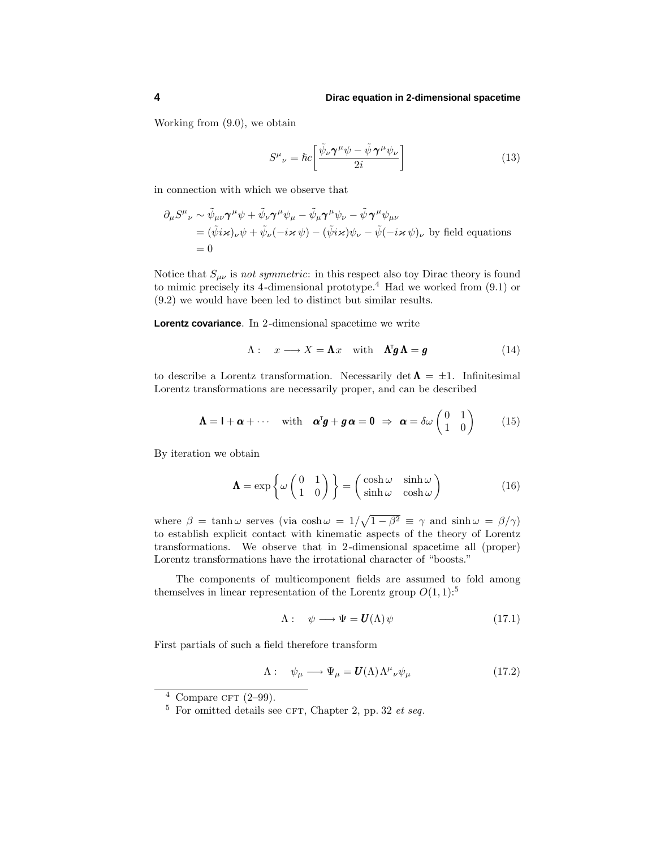Working from (9.0), we obtain

$$
S^{\mu}{}_{\nu} = \hbar c \left[ \frac{\tilde{\psi}_{\nu} \gamma^{\mu} \psi - \tilde{\psi} \gamma^{\mu} \psi_{\nu}}{2i} \right]
$$
 (13)

in connection with which we observe that

$$
\partial_{\mu}S^{\mu}{}_{\nu} \sim \tilde{\psi}_{\mu\nu}\gamma^{\mu}\psi + \tilde{\psi}_{\nu}\gamma^{\mu}\psi_{\mu} - \tilde{\psi}_{\mu}\gamma^{\mu}\psi_{\nu} - \tilde{\psi}\gamma^{\mu}\psi_{\mu\nu}
$$
  
=  $(\tilde{\psi}i\varkappa)_{\nu}\psi + \tilde{\psi}_{\nu}(-i\varkappa\psi) - (\tilde{\psi}i\varkappa)\psi_{\nu} - \tilde{\psi}(-i\varkappa\psi)_{\nu}$  by field equations  
= 0

Notice that  $S_{\mu\nu}$  is not symmetric: in this respect also toy Dirac theory is found to mimic precisely its 4-dimensional prototype.<sup>4</sup> Had we worked from  $(9.1)$  or (9.2) we would have been led to distinct but similar results.

**Lorentz covariance**. In 2-dimensional spacetime we write

$$
\Lambda: \quad x \longrightarrow X = \Lambda x \quad \text{with} \quad \Lambda^{\mathsf{T}} g \Lambda = g \tag{14}
$$

to describe a Lorentz transformation. Necessarily det  $\Lambda = \pm 1$ . Infinitesimal Lorentz transformations are necessarily proper, and can be described

$$
\mathbf{\Lambda} = \mathbf{I} + \boldsymbol{\alpha} + \cdots \quad \text{with} \quad \boldsymbol{\alpha}^{\mathsf{T}} \boldsymbol{g} + \boldsymbol{g} \boldsymbol{\alpha} = \mathbf{0} \ \Rightarrow \ \boldsymbol{\alpha} = \delta \omega \begin{pmatrix} 0 & 1 \\ 1 & 0 \end{pmatrix} \tag{15}
$$

By iteration we obtain

$$
\mathbf{\Lambda} = \exp\left\{\omega \begin{pmatrix} 0 & 1 \\ 1 & 0 \end{pmatrix} \right\} = \begin{pmatrix} \cosh \omega & \sinh \omega \\ \sinh \omega & \cosh \omega \end{pmatrix}
$$
(16)

where  $\beta = \tanh \omega$  serves (via  $\cosh \omega = 1/\sqrt{1-\beta^2} \equiv \gamma$  and  $\sinh \omega = \beta/\gamma$ ) to establish explicit contact with kinematic aspects of the theory of Lorentz transformations. We observe that in 2-dimensional spacetime all (proper) Lorentz transformations have the irrotational character of "boosts."

The components of multicomponent fields are assumed to fold among themselves in linear representation of the Lorentz group  $O(1, 1)$ :<sup>5</sup>

$$
\Lambda: \quad \psi \longrightarrow \Psi = \mathbf{U}(\Lambda)\psi \tag{17.1}
$$

First partials of such a field therefore transform

$$
\Lambda: \quad \psi_{\mu} \longrightarrow \Psi_{\mu} = \mathbf{U}(\Lambda) \Lambda^{\mu}{}_{\nu} \psi_{\mu} \tag{17.2}
$$

 $4$  Compare CFT  $(2-99)$ .

 $\frac{5}{5}$  For omitted details see CFT, Chapter 2, pp. 32 et seq.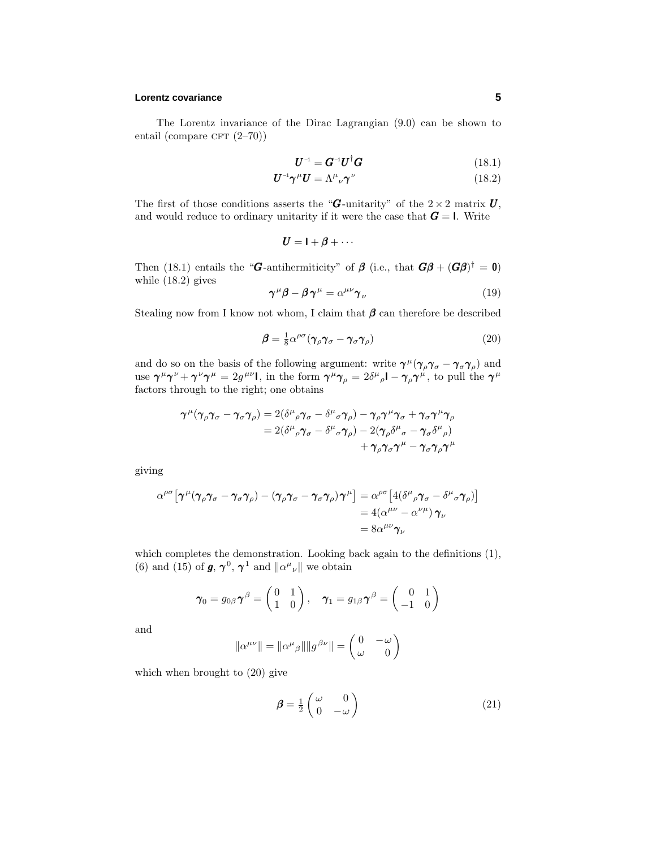# **Lorentz covariance 5**

The Lorentz invariance of the Dirac Lagrangian (9.0) can be shown to entail (compare CFT  $(2-70)$ )

$$
\boldsymbol{U}^{-1} = \boldsymbol{G}^{-1} \boldsymbol{U}^{\dagger} \boldsymbol{G} \tag{18.1}
$$

$$
\boldsymbol{U}^{-1}\boldsymbol{\gamma}^{\mu}\boldsymbol{U} = \Lambda^{\mu}{}_{\nu}\boldsymbol{\gamma}^{\nu} \tag{18.2}
$$

The first of those conditions asserts the " $G$ -unitarity" of the  $2 \times 2$  matrix  $U$ , and would reduce to ordinary unitarity if it were the case that  $G = I$ . Write

$$
U=I+\beta+\cdots
$$

Then (18.1) entails the "*G*-antihermiticity" of  $\beta$  (i.e., that  $G\beta + (G\beta)^{\dagger} = 0$ ) while (18.2) gives

$$
\gamma^{\mu}\beta - \beta\gamma^{\mu} = \alpha^{\mu\nu}\gamma_{\nu}
$$
 (19)

Stealing now from I know not whom, I claim that *β* can therefore be described

$$
\boldsymbol{\beta} = \frac{1}{8} \alpha^{\rho \sigma} (\boldsymbol{\gamma}_{\rho} \boldsymbol{\gamma}_{\sigma} - \boldsymbol{\gamma}_{\sigma} \boldsymbol{\gamma}_{\rho})
$$
(20)

and do so on the basis of the following argument: write  $\gamma^{\mu}(\gamma_{\rho}\gamma_{\sigma} - \gamma_{\sigma}\gamma_{\rho})$  and use  $\gamma^{\mu}\gamma^{\nu}+\gamma^{\nu}\gamma^{\mu}=2g^{\mu\nu}l$ , in the form  $\gamma^{\mu}\gamma_{\rho}=2\delta^{\mu}{}_{\rho}l-\gamma_{\rho}\gamma^{\mu}$ , to pull the  $\gamma^{\mu}$ factors through to the right; one obtains

$$
\gamma^{\mu}(\gamma_{\rho}\gamma_{\sigma}-\gamma_{\sigma}\gamma_{\rho})=2(\delta^{\mu}{}_{\rho}\gamma_{\sigma}-\delta^{\mu}{}_{\sigma}\gamma_{\rho})-\gamma_{\rho}\gamma^{\mu}\gamma_{\sigma}+\gamma_{\sigma}\gamma^{\mu}\gamma_{\rho}=2(\delta^{\mu}{}_{\rho}\gamma_{\sigma}-\delta^{\mu}{}_{\sigma}\gamma_{\rho})-2(\gamma_{\rho}\delta^{\mu}{}_{\sigma}-\gamma_{\sigma}\delta^{\mu}{}_{\rho})+\gamma_{\rho}\gamma_{\sigma}\gamma^{\mu}-\gamma_{\sigma}\gamma_{\rho}\gamma^{\mu}
$$

giving

$$
\alpha^{\rho\sigma} \left[ \gamma^{\mu} (\gamma_{\rho} \gamma_{\sigma} - \gamma_{\sigma} \gamma_{\rho}) - (\gamma_{\rho} \gamma_{\sigma} - \gamma_{\sigma} \gamma_{\rho}) \gamma^{\mu} \right] = \alpha^{\rho\sigma} \left[ 4(\delta^{\mu}{}_{\rho} \gamma_{\sigma} - \delta^{\mu}{}_{\sigma} \gamma_{\rho}) \right]
$$
  
=  $4(\alpha^{\mu\nu} - \alpha^{\nu\mu}) \gamma_{\nu}$   
=  $8\alpha^{\mu\nu} \gamma_{\nu}$ 

which completes the demonstration. Looking back again to the definitions  $(1)$ , (6) and (15) of **g**,  $\boldsymbol{\gamma}^0$ ,  $\boldsymbol{\gamma}^1$  and  $\|\alpha^{\mu}{}_{\nu}\|$  we obtain

$$
\boldsymbol{\gamma}_0 = g_{0\beta} \boldsymbol{\gamma}^{\beta} = \begin{pmatrix} 0 & 1 \\ 1 & 0 \end{pmatrix}, \quad \boldsymbol{\gamma}_1 = g_{1\beta} \boldsymbol{\gamma}^{\beta} = \begin{pmatrix} 0 & 1 \\ -1 & 0 \end{pmatrix}
$$

and

$$
\|\alpha^{\mu\nu}\| = \|\alpha^{\mu}{}_{\beta}\| \|g^{\beta\nu}\| = \begin{pmatrix} 0 & -\omega \\ \omega & 0 \end{pmatrix}
$$

which when brought to (20) give

$$
\beta = \frac{1}{2} \begin{pmatrix} \omega & 0\\ 0 & -\omega \end{pmatrix}
$$
 (21)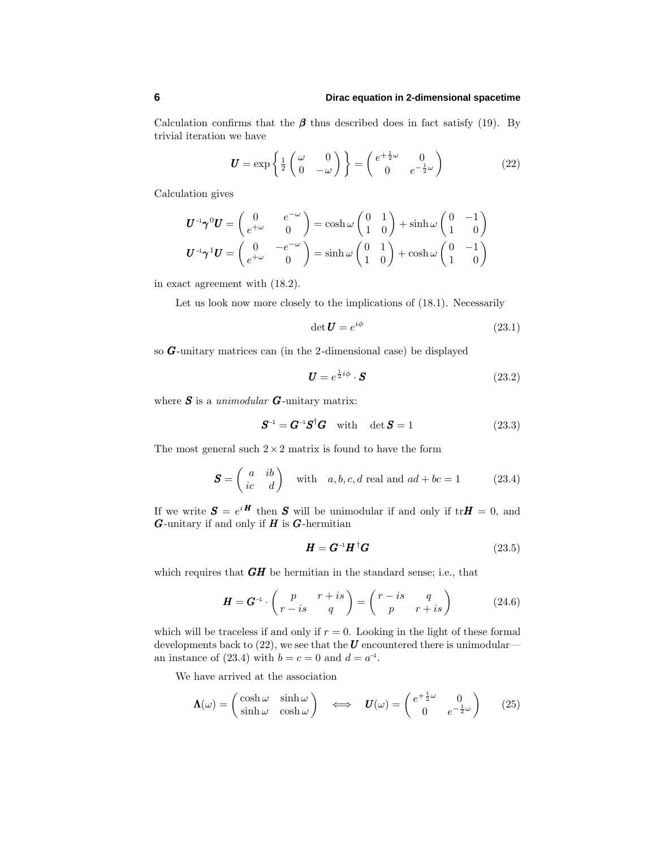Calculation confirms that the  $\beta$  thus described does in fact satisfy (19). By trivial iteration we have

$$
\boldsymbol{U} = \exp\left\{\frac{1}{2}\begin{pmatrix} \omega & 0\\ 0 & -\omega \end{pmatrix} \right\} = \begin{pmatrix} e^{+\frac{1}{2}\omega} & 0\\ 0 & e^{-\frac{1}{2}\omega} \end{pmatrix}
$$
(22)

Calculation gives

$$
\mathbf{U}^{-1}\boldsymbol{\gamma}^{0}\mathbf{U} = \begin{pmatrix} 0 & e^{-\omega} \\ e^{+\omega} & 0 \end{pmatrix} = \cosh\omega \begin{pmatrix} 0 & 1 \\ 1 & 0 \end{pmatrix} + \sinh\omega \begin{pmatrix} 0 & -1 \\ 1 & 0 \end{pmatrix}
$$

$$
\mathbf{U}^{-1}\boldsymbol{\gamma}^{1}\mathbf{U} = \begin{pmatrix} 0 & -e^{-\omega} \\ e^{+\omega} & 0 \end{pmatrix} = \sinh\omega \begin{pmatrix} 0 & 1 \\ 1 & 0 \end{pmatrix} + \cosh\omega \begin{pmatrix} 0 & -1 \\ 1 & 0 \end{pmatrix}
$$

in exact agreement with (18.2).

Let us look now more closely to the implications of  $(18.1)$ . Necessarily

$$
\det \mathbf{U} = e^{i\phi} \tag{23.1}
$$

so *G*-unitary matrices can (in the 2-dimensional case) be displayed

$$
\boldsymbol{U} = e^{\frac{1}{2}i\phi} \cdot \boldsymbol{S} \tag{23.2}
$$

where **S** is a *unimodular G*-unitary matrix:

$$
\mathbf{S}^{-1} = \mathbf{G}^{-1} \mathbf{S}^{\dagger} \mathbf{G} \quad \text{with} \quad \det \mathbf{S} = 1 \tag{23.3}
$$

The most general such  $2 \times 2$  matrix is found to have the form

$$
\mathbf{S} = \begin{pmatrix} a & ib \\ ic & d \end{pmatrix} \quad \text{with} \quad a, b, c, d \text{ real and } ad + bc = 1 \tag{23.4}
$$

If we write  $S = e^{iH}$  then *S* will be unimodular if and only if  $trH = 0$ , and *G*-unitary if and only if *H* is *G*-hermitian

$$
\boldsymbol{H} = \boldsymbol{G}^{-1} \boldsymbol{H}^{\dagger} \boldsymbol{G} \tag{23.5}
$$

which requires that *GH* be hermitian in the standard sense; i.e., that

$$
\boldsymbol{H} = \boldsymbol{G}^{-1} \cdot \begin{pmatrix} p & r+is \\ r-is & q \end{pmatrix} = \begin{pmatrix} r-is & q \\ p & r+is \end{pmatrix}
$$
 (24.6)

which will be traceless if and only if  $r = 0$ . Looking in the light of these formal developments back to  $(22)$ , we see that the *U* encountered there is unimodular an instance of  $(23.4)$  with  $b = c = 0$  and  $d = a^{-1}$ .

We have arrived at the association

$$
\mathbf{\Lambda}(\omega) = \begin{pmatrix} \cosh \omega & \sinh \omega \\ \sinh \omega & \cosh \omega \end{pmatrix} \iff \mathbf{U}(\omega) = \begin{pmatrix} e^{+\frac{1}{2}\omega} & 0 \\ 0 & e^{-\frac{1}{2}\omega} \end{pmatrix} \tag{25}
$$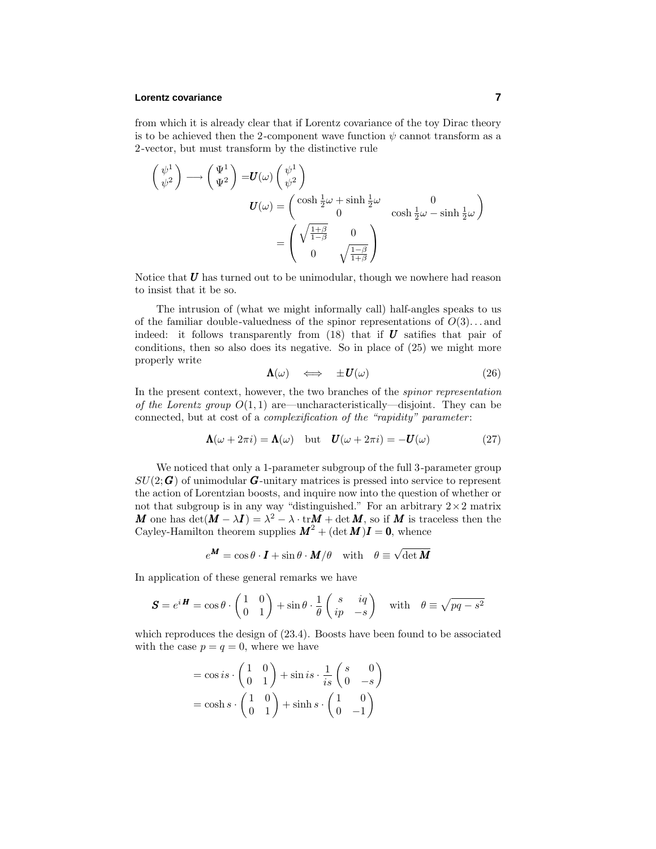# **Lorentz covariance 7**

from which it is already clear that if Lorentz covariance of the toy Dirac theory is to be achieved then the 2-component wave function  $\psi$  cannot transform as a 2-vector, but must transform by the distinctive rule

$$
\begin{pmatrix} \psi^1 \\ \psi^2 \end{pmatrix} \longrightarrow \begin{pmatrix} \Psi^1 \\ \Psi^2 \end{pmatrix} = U(\omega) \begin{pmatrix} \psi^1 \\ \psi^2 \end{pmatrix}
$$

$$
U(\omega) = \begin{pmatrix} \cosh \frac{1}{2}\omega + \sinh \frac{1}{2}\omega \\ 0 & \cosh \frac{1}{2}\omega - \sinh \frac{1}{2}\omega \end{pmatrix}
$$

$$
= \begin{pmatrix} \sqrt{\frac{1+\beta}{1-\beta}} & 0 \\ 0 & \sqrt{\frac{1-\beta}{1+\beta}} \end{pmatrix}
$$

Notice that  $U$  has turned out to be unimodular, though we nowhere had reason to insist that it be so.

The intrusion of (what we might informally call) half-angles speaks to us of the familiar double-valuedness of the spinor representations of *O*(3)*...* and indeed: it follows transparently from  $(18)$  that if  $U$  satifies that pair of conditions, then so also does its negative. So in place of (25) we might more properly write

$$
\Lambda(\omega) \quad \Longleftrightarrow \quad \pm U(\omega) \tag{26}
$$

In the present context, however, the two branches of the spinor representation of the Lorentz group  $O(1, 1)$  are—uncharacteristically—disjoint. They can be connected, but at cost of a *complexification of the "rapidity" parameter*:

$$
\Lambda(\omega + 2\pi i) = \Lambda(\omega) \quad \text{but} \quad \boldsymbol{U}(\omega + 2\pi i) = -\boldsymbol{U}(\omega) \tag{27}
$$

We noticed that only a 1-parameter subgroup of the full 3-parameter group  $SU(2; \mathbf{G})$  of unimodular  $\mathbf{G}$ -unitary matrices is pressed into service to represent the action of Lorentzian boosts, and inquire now into the question of whether or not that subgroup is in any way "distinguished." For an arbitrary  $2 \times 2$  matrix *M* one has  $\det(M - \lambda I) = \lambda^2 - \lambda \cdot \text{tr}M + \det M$ , so if *M* is traceless then the Cayley-Hamilton theorem supplies  $M^2 + (\det M)I = 0$ , whence

$$
e^{\boldsymbol{M}} = \cos\theta \cdot \boldsymbol{I} + \sin\theta \cdot \boldsymbol{M}/\theta \quad \text{with} \quad \theta \equiv \sqrt{\det \boldsymbol{M}}
$$

In application of these general remarks we have

$$
\mathbf{S} = e^{i\mathbf{H}} = \cos\theta \cdot \begin{pmatrix} 1 & 0 \\ 0 & 1 \end{pmatrix} + \sin\theta \cdot \frac{1}{\theta} \begin{pmatrix} s & iq \\ ip & -s \end{pmatrix} \text{ with } \theta \equiv \sqrt{pq - s^2}
$$

which reproduces the design of (23.4). Boosts have been found to be associated with the case  $p = q = 0$ , where we have

$$
= \cos is \cdot \begin{pmatrix} 1 & 0 \\ 0 & 1 \end{pmatrix} + \sin is \cdot \frac{1}{is} \begin{pmatrix} s & 0 \\ 0 & -s \end{pmatrix}
$$

$$
= \cosh s \cdot \begin{pmatrix} 1 & 0 \\ 0 & 1 \end{pmatrix} + \sinh s \cdot \begin{pmatrix} 1 & 0 \\ 0 & -1 \end{pmatrix}
$$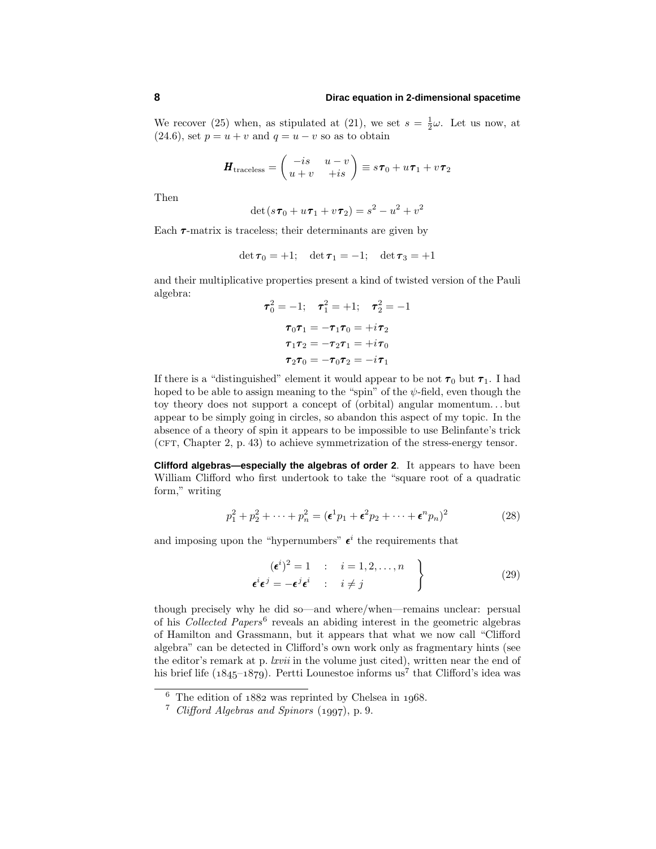We recover (25) when, as stipulated at (21), we set  $s = \frac{1}{2}\omega$ . Let us now, at (24.6), set  $p = u + v$  and  $q = u - v$  so as to obtain

$$
\boldsymbol{H}_{\text{traceless}} = \begin{pmatrix} -is & u - v \\ u + v & +is \end{pmatrix} \equiv s\boldsymbol{\tau}_0 + u\boldsymbol{\tau}_1 + v\boldsymbol{\tau}_2
$$

Then

$$
\det(s\,\boldsymbol{\tau}_0 + u\,\boldsymbol{\tau}_1 + v\,\boldsymbol{\tau}_2) = s^2 - u^2 + v^2
$$

Each *τ* -matrix is traceless; their determinants are given by

$$
\det \tau_0 = +1; \quad \det \tau_1 = -1; \quad \det \tau_3 = +1
$$

and their multiplicative properties present a kind of twisted version of the Pauli algebra:

$$
\tau_0^2 = -1; \quad \tau_1^2 = +1; \quad \tau_2^2 = -1
$$

$$
\tau_0 \tau_1 = -\tau_1 \tau_0 = +i \tau_2
$$

$$
\tau_1 \tau_2 = -\tau_2 \tau_1 = +i \tau_0
$$

$$
\tau_2 \tau_0 = -\tau_0 \tau_2 = -i \tau_1
$$

If there is a "distinguished" element it would appear to be not  $\tau_0$  but  $\tau_1$ . I had hoped to be able to assign meaning to the "spin" of the  $\psi$ -field, even though the toy theory does not support a concept of (orbital) angular momentum*...* but appear to be simply going in circles, so abandon this aspect of my topic. In the absence of a theory of spin it appears to be impossible to use Belinfante's trick (CFT, Chapter 2, p. 43) to achieve symmetrization of the stress-energy tensor.

**Clifford algebras—especially the algebras of order 2**. It appears to have been William Clifford who first undertook to take the "square root of a quadratic form," writing

$$
p_1^2 + p_2^2 + \dots + p_n^2 = (\mathbf{\epsilon}^1 p_1 + \mathbf{\epsilon}^2 p_2 + \dots + \mathbf{\epsilon}^n p_n)^2
$$
 (28)

and imposing upon the "hypernumbers"  $\epsilon^{i}$  the requirements that

$$
\begin{cases}\n(\epsilon^i)^2 = 1 & : i = 1, 2, \dots, n \\
\epsilon^i \epsilon^j = -\epsilon^j \epsilon^i & : i \neq j\n\end{cases}
$$
\n(29)

though precisely why he did so—and where/when—remains unclear: persual of his Collected Papers<sup>6</sup> reveals an abiding interest in the geometric algebras of Hamilton and Grassmann, but it appears that what we now call "Clifford algebra" can be detected in Clifford's own work only as fragmentary hints (see the editor's remark at p. *lxvii* in the volume just cited), written near the end of his brief life ( $1845-1879$ ). Pertti Lounestoe informs us<sup>7</sup> that Clifford's idea was

 $\frac{6}{6}$  The edition of 1882 was reprinted by Chelsea in 1968.

<sup>&</sup>lt;sup>7</sup> Clifford Algebras and Spinors  $(1997)$ , p. 9.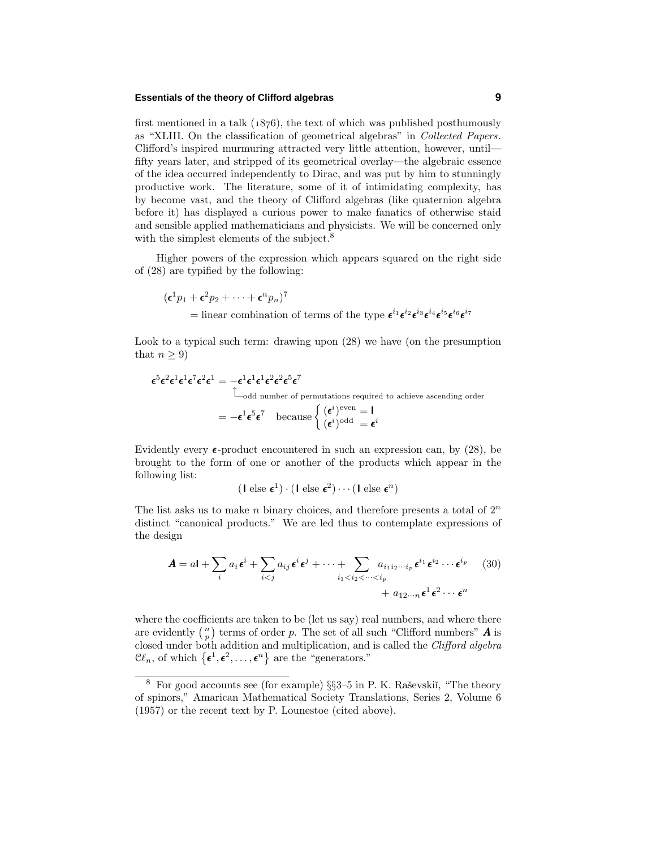# **Essentials of the theory of Clifford algebras 9**

first mentioned in a talk  $(1876)$ , the text of which was published posthumously as "XLIII. On the classification of geometrical algebras" in Collected Papers. Clifford's inspired murmuring attracted very little attention, however, until fifty years later, and stripped of its geometrical overlay—the algebraic essence of the idea occurred independently to Dirac, and was put by him to stunningly productive work. The literature, some of it of intimidating complexity, has by become vast, and the theory of Clifford algebras (like quaternion algebra before it) has displayed a curious power to make fanatics of otherwise staid and sensible applied mathematicians and physicists. We will be concerned only with the simplest elements of the subject.<sup>8</sup>

Higher powers of the expression which appears squared on the right side of (28) are typified by the following:

$$
(\epsilon^1 p_1 + \epsilon^2 p_2 + \dots + \epsilon^n p_n)^7
$$
  
= linear combination of terms of the type  $\epsilon^{i_1} \epsilon^{i_2} \epsilon^{i_3} \epsilon^{i_4} \epsilon^{i_5} \epsilon^{i_6} \epsilon^{i_7}$ 

Look to a typical such term: drawing upon (28) we have (on the presumption that  $n \geq 9$ )

$$
\epsilon^5 \epsilon^2 \epsilon^1 \epsilon^1 \epsilon^7 \epsilon^2 \epsilon^1 = -\epsilon^1 \epsilon^1 \epsilon^1 \epsilon^2 \epsilon^2 \epsilon^5 \epsilon^7
$$
  
\n
$$
\begin{aligned}\n\hat{\epsilon}^5 \epsilon^2 \epsilon^1 \epsilon^1 \epsilon^2 \epsilon^2 \epsilon^1 \epsilon^1 \epsilon^2 \epsilon^2 \epsilon^5 \epsilon^7 \\
&= -\epsilon^1 \epsilon^5 \epsilon^7 \quad \text{because}\n\begin{cases}\n(\epsilon^i)^{\text{even}} &= I \\
(\epsilon^i)^{\text{odd}} &= \epsilon^i\n\end{cases}\n\end{aligned}
$$

Evidently every  $\epsilon$ -product encountered in such an expression can, by (28), be brought to the form of one or another of the products which appear in the following list:

$$
(\mathbf{I} \text{ else } \boldsymbol{\epsilon}^1) \cdot (\mathbf{I} \text{ else } \boldsymbol{\epsilon}^2) \cdots (\mathbf{I} \text{ else } \boldsymbol{\epsilon}^n)
$$

The list asks us to make *n* binary choices, and therefore presents a total of 2*<sup>n</sup>* distinct "canonical products." We are led thus to contemplate expressions of the design

$$
\mathbf{A} = a\mathbf{l} + \sum_{i} a_{i} \boldsymbol{\epsilon}^{i} + \sum_{i < j} a_{ij} \boldsymbol{\epsilon}^{i} \boldsymbol{\epsilon}^{j} + \dots + \sum_{i_{1} < i_{2} < \dots < i_{p}} a_{i_{1} i_{2} \dots i_{p}} \boldsymbol{\epsilon}^{i_{1}} \boldsymbol{\epsilon}^{i_{2}} \dots \boldsymbol{\epsilon}^{i_{p}} \qquad (30) \\ + a_{12 \dots n} \boldsymbol{\epsilon}^{1} \boldsymbol{\epsilon}^{2} \dots \boldsymbol{\epsilon}^{n}
$$

where the coefficients are taken to be (let us say) real numbers, and where there are evidently  $\binom{n}{p}$  terms of order *p*. The set of all such "Clifford numbers" **A** is closed under both addition and multiplication, and is called the Clifford algebra  $\mathcal{C}\ell_n$ , of which  $\{\boldsymbol{\epsilon}^1, \boldsymbol{\epsilon}^2, \ldots, \boldsymbol{\epsilon}^n\}$  are the "generators."

<sup>&</sup>lt;sup>8</sup> For good accounts see (for example)  $\S$ §3–5 in P. K. Raševskiı̆, "The theory of spinors," Amarican Mathematical Society Translations, Series 2, Volume 6 (1957) or the recent text by P. Lounestoe (cited above).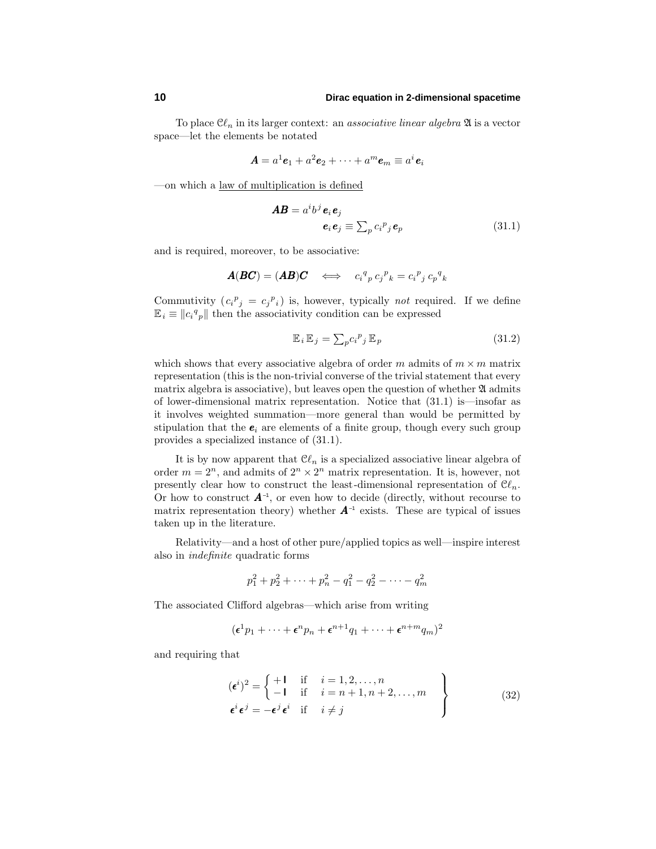To place  $\mathcal{C}\ell_n$  in its larger context: an *associative linear algebra*  $\mathfrak A$  is a vector space—let the elements be notated

$$
\mathbf{A} = a^1 \mathbf{e}_1 + a^2 \mathbf{e}_2 + \dots + a^m \mathbf{e}_m \equiv a^i \mathbf{e}_i
$$

—on which a law of multiplication is defined

$$
AB = a^i b^j e_i e_j
$$
  

$$
e_i e_j \equiv \sum_p c_i^p j e_p
$$
 (31.1)

and is required, moreover, to be associative:

$$
\boldsymbol{A}(\boldsymbol{B}\boldsymbol{C})=(\boldsymbol{A}\boldsymbol{B})\boldsymbol{C} \quad \Longleftrightarrow \quad c_i{}^q{}_p\,c_j{}^p{}_k=c_i{}^p{}_j\,c_p{}^q{}_k
$$

Commutivity  $(c_i^p{}_j = c_j^p{}_i)$  is, however, typically not required. If we define  $\mathbb{E}_{i} \equiv \|c_{i}{}^{q}{}_{p}\|$  then the associativity condition can be expressed

$$
\mathbb{E}_{i} \mathbb{E}_{j} = \sum_{p} c_{i}^{p} \mathbb{E}_{p} \tag{31.2}
$$

which shows that every associative algebra of order  $m$  admits of  $m \times m$  matrix representation (this is the non-trivial converse of the trivial statement that every matrix algebra is associative), but leaves open the question of whether  $\mathfrak A$  admits of lower-dimensional matrix representation. Notice that (31.1) is—insofar as it involves weighted summation—more general than would be permitted by stipulation that the  $e_i$  are elements of a finite group, though every such group provides a specialized instance of (31.1).

It is by now apparent that  $\mathcal{C}\ell_n$  is a specialized associative linear algebra of order  $m = 2^n$ , and admits of  $2^n \times 2^n$  matrix representation. It is, however, not presently clear how to construct the least-dimensional representation of  $\mathcal{C}\ell_n$ . Or how to construct  $A^{-1}$ , or even how to decide (directly, without recourse to matrix representation theory) whether  $A^{-1}$  exists. These are typical of issues taken up in the literature.

Relativity—and a host of other pure/applied topics as well—inspire interest also in indefinite quadratic forms

$$
p_1^2 + p_2^2 + \dots + p_n^2 - q_1^2 - q_2^2 - \dots - q_m^2
$$

The associated Clifford algebras—which arise from writing

$$
(\boldsymbol{\epsilon}^1 p_1 + \dots + \boldsymbol{\epsilon}^n p_n + \boldsymbol{\epsilon}^{n+1} q_1 + \dots + \boldsymbol{\epsilon}^{n+m} q_m)^2
$$

and requiring that

$$
(\epsilon^{i})^{2} = \begin{cases} +1 & \text{if } i = 1, 2, ..., n \\ -1 & \text{if } i = n+1, n+2, ..., m \\ \epsilon^{i} \epsilon^{j} = -\epsilon^{j} \epsilon^{i} & \text{if } i \neq j \end{cases}
$$
(32)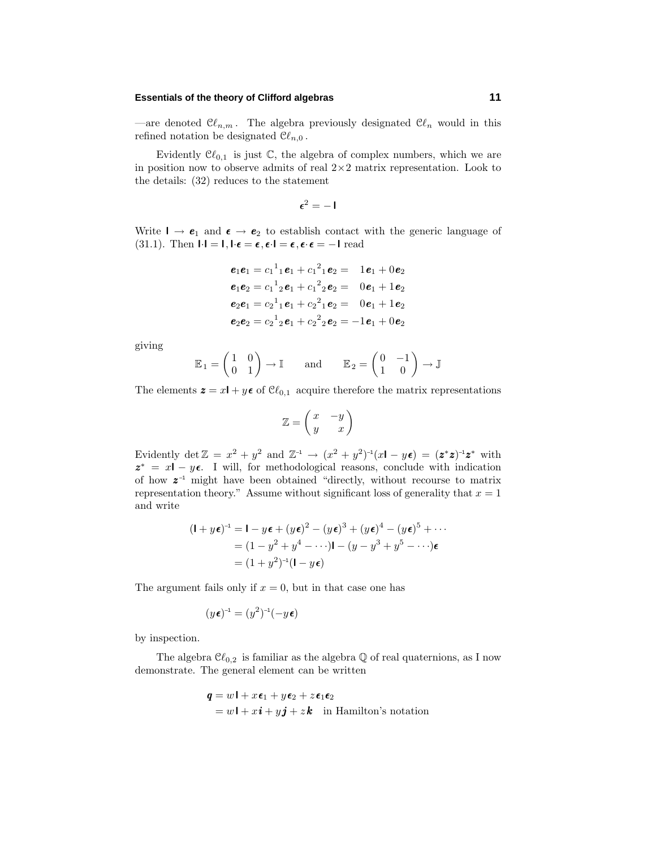# **Essentials of the theory of Clifford algebras 11**

—are denoted  $\mathcal{C}\ell_{n,m}$ . The algebra previously designated  $\mathcal{C}\ell_n$  would in this refined notation be designated  $\mathcal{C}\ell_{n,0}$ .

Evidently  $\mathcal{C}\ell_{0,1}$  is just  $\mathbb C$ , the algebra of complex numbers, which we are in position now to observe admits of real  $2\times 2$  matrix representation. Look to the details: (32) reduces to the statement

$$
\epsilon^2=-1
$$

Write  $I \rightarrow e_1$  and  $\epsilon \rightarrow e_2$  to establish contact with the generic language of (31.1). Then  $\mathbf{I} \cdot \mathbf{I} = \mathbf{I}$ ,  $\mathbf{I} \cdot \mathbf{\epsilon} = \mathbf{\epsilon}$ ,  $\mathbf{\epsilon} \cdot \mathbf{I} = \mathbf{\epsilon}$ ,  $\mathbf{\epsilon} \cdot \mathbf{\epsilon} = -\mathbf{I}$  read

$$
e_1e_1 = c_1{}^1{}_1e_1 + c_1{}^2{}_1e_2 = 1e_1 + 0e_2
$$
  
\n
$$
e_1e_2 = c_1{}^1{}_2e_1 + c_1{}^2{}_2e_2 = 0e_1 + 1e_2
$$
  
\n
$$
e_2e_1 = c_2{}^1{}_1e_1 + c_2{}^2{}_1e_2 = 0e_1 + 1e_2
$$
  
\n
$$
e_2e_2 = c_2{}^1{}_2e_1 + c_2{}^2{}_2e_2 = -1e_1 + 0e_2
$$

giving

$$
\mathbb{E}_1 = \begin{pmatrix} 1 & 0 \\ 0 & 1 \end{pmatrix} \to \mathbb{I} \quad \text{and} \quad \mathbb{E}_2 = \begin{pmatrix} 0 & -1 \\ 1 & 0 \end{pmatrix} \to \mathbb{J}
$$

The elements  $\mathbf{z} = x \mathbf{I} + y \boldsymbol{\epsilon}$  of  $C\ell_{0,1}$  acquire therefore the matrix representations

$$
\mathbb{Z}=\left(\!\!\begin{array}{cc} x & -y \\ y & x\end{array}\!\!\right)
$$

Evidently det  $\mathbb{Z} = x^2 + y^2$  and  $\mathbb{Z}^4 \to (x^2 + y^2)^{-1}(x\mathbf{I} - y\boldsymbol{\epsilon}) = (\mathbf{z}^* \mathbf{z})^{-1} \mathbf{z}^*$  with  $z^* = xI - y\epsilon$ . I will, for methodological reasons, conclude with indication of how  $z^{-1}$  might have been obtained "directly, without recourse to matrix representation theory." Assume without significant loss of generality that  $x = 1$ and write

$$
(\mathbf{I} + y\boldsymbol{\epsilon})^{-1} = \mathbf{I} - y\boldsymbol{\epsilon} + (y\boldsymbol{\epsilon})^2 - (y\boldsymbol{\epsilon})^3 + (y\boldsymbol{\epsilon})^4 - (y\boldsymbol{\epsilon})^5 + \cdots
$$
  
=  $(1 - y^2 + y^4 - \cdots)\mathbf{I} - (y - y^3 + y^5 - \cdots)\boldsymbol{\epsilon}$   
=  $(1 + y^2)^{-1}(\mathbf{I} - y\boldsymbol{\epsilon})$ 

The argument fails only if  $x = 0$ , but in that case one has

$$
(y\,\epsilon)^{-1} = (y^2)^{-1}(-y\,\epsilon)
$$

by inspection.

The algebra  $C\ell_{0,2}$  is familiar as the algebra  $\mathbb Q$  of real quaternions, as I now demonstrate. The general element can be written

$$
\mathbf{q} = w\mathbf{1} + x\mathbf{\epsilon}_1 + y\mathbf{\epsilon}_2 + z\mathbf{\epsilon}_1\mathbf{\epsilon}_2
$$
  
=  $w\mathbf{1} + x\mathbf{i} + y\mathbf{j} + z\mathbf{k}$  in Hamilton's notation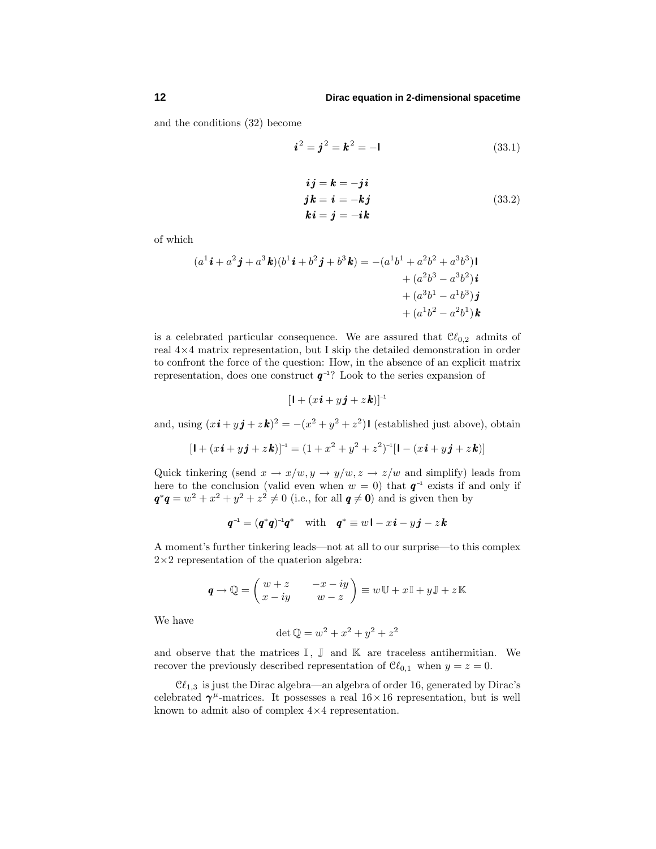and the conditions (32) become

$$
\bm{i}^2 = \bm{j}^2 = \bm{k}^2 = -\mathbf{I} \tag{33.1}
$$

$$
ij = k = -ji
$$
  
\n
$$
jk = i = -kj
$$
  
\n
$$
ki = j = -ik
$$
  
\n(33.2)

of which

$$
(a1i + a2j + a3k)(b1i + b2j + b3k) = -(a1b1 + a2b2 + a3b3)i+ (a2b3 - a3b2)i+ (a3b1 - a1b3)j+ (a1b2 - a2b1)k
$$

is a celebrated particular consequence. We are assured that  $\mathcal{C}\ell_{0,2}$  admits of real 4×4 matrix representation, but I skip the detailed demonstration in order to confront the force of the question: How, in the absence of an explicit matrix representation, does one construct  $q^{-1}$ ? Look to the series expansion of

$$
[\mathbf{I} + (x\mathbf{i} + y\mathbf{j} + z\mathbf{k})]^{-1}
$$

and, using  $(x\mathbf{i} + y\mathbf{j} + z\mathbf{k})^2 = -(x^2 + y^2 + z^2)\mathbf{I}$  (established just above), obtain

$$
[\mathbf{I} + (x\mathbf{i} + y\mathbf{j} + z\mathbf{k})]^{-1} = (1 + x^2 + y^2 + z^2)^{-1} [\mathbf{I} - (x\mathbf{i} + y\mathbf{j} + z\mathbf{k})]
$$

Quick tinkering (send  $x \to x/w, y \to y/w, z \to z/w$  and simplify) leads from here to the conclusion (valid even when  $w = 0$ ) that  $q^{-1}$  exists if and only if  $q^*q = w^2 + x^2 + y^2 + z^2 \neq 0$  (i.e., for all  $q \neq 0$ ) and is given then by

$$
\boldsymbol{q}^{-1} = (\boldsymbol{q}^*\boldsymbol{q})^{-1}\boldsymbol{q}^* \quad \text{with} \quad \boldsymbol{q}^* \equiv w\,\mathbf{I} - x\,\boldsymbol{i} - y\,\boldsymbol{j} - z\,\boldsymbol{k}
$$

A moment's further tinkering leads—not at all to our surprise—to this complex  $2\times 2$  representation of the quaterion algebra:

$$
\mathbf{q} \to \mathbb{Q} = \begin{pmatrix} w+z & -x-iy \\ x-iy & w-z \end{pmatrix} \equiv w \mathbb{U} + x \mathbb{I} + y \mathbb{J} + z \mathbb{K}
$$

We have

$$
\det \mathbb{Q} = w^2 + x^2 + y^2 + z^2
$$

and observe that the matrices  $\mathbb{I}$ ,  $\mathbb{J}$  and  $\mathbb{K}$  are traceless antihermitian. We recover the previously described representation of  $\mathcal{C}\ell_{0,1}$  when  $y = z = 0$ .

 $C\ell_{1,3}$  is just the Dirac algebra—an algebra of order 16, generated by Dirac's celebrated  $\gamma^{\mu}$ -matrices. It possesses a real  $16 \times 16$  representation, but is well known to admit also of complex 4×4 representation.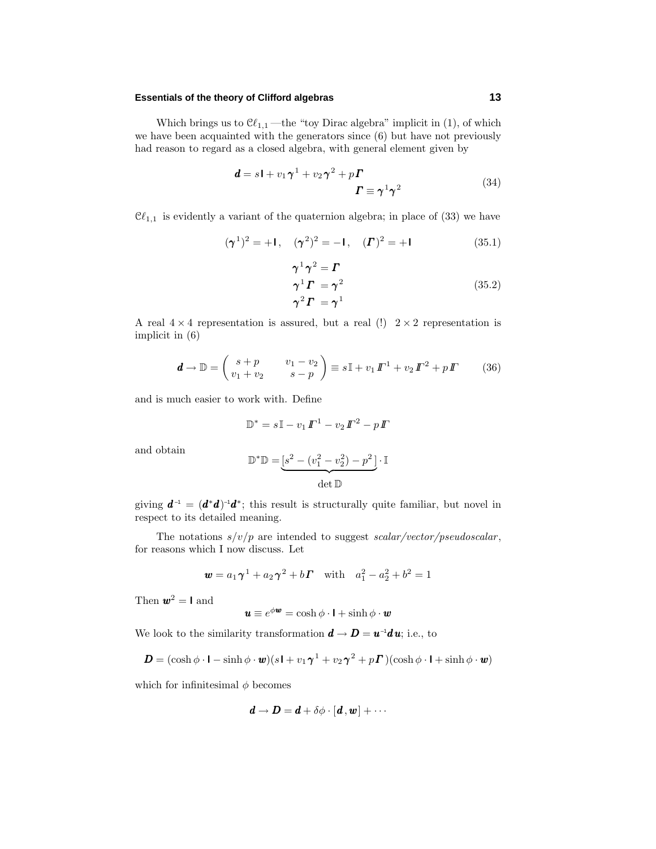# **Essentials of the theory of Clifford algebras 13**

Which brings us to  $C\ell_{1,1}$ —the "toy Dirac algebra" implicit in (1), of which we have been acquainted with the generators since (6) but have not previously had reason to regard as a closed algebra, with general element given by

$$
\mathbf{d} = s\mathbf{I} + v_1\boldsymbol{\gamma}^1 + v_2\boldsymbol{\gamma}^2 + p\boldsymbol{\varGamma}
$$
  

$$
\boldsymbol{\varGamma} \equiv \boldsymbol{\gamma}^1\boldsymbol{\gamma}^2
$$
 (34)

 $C\ell_{1,1}$  is evidently a variant of the quaternion algebra; in place of  $(33)$  we have

$$
(\gamma^1)^2 = +1
$$
,  $(\gamma^2)^2 = -1$ ,  $(\Gamma)^2 = +1$  (35.1)

$$
\gamma^{1} \gamma^{2} = \Gamma
$$
  
\n
$$
\gamma^{1} \Gamma = \gamma^{2}
$$
  
\n
$$
\gamma^{2} \Gamma = \gamma^{1}
$$
\n(35.2)

A real  $4 \times 4$  representation is assured, but a real (!)  $2 \times 2$  representation is implicit in (6)

$$
\mathbf{d} \to \mathbb{D} = \begin{pmatrix} s+p & v_1 - v_2 \\ v_1 + v_2 & s-p \end{pmatrix} \equiv s\mathbb{I} + v_1 \mathbf{I}^{-1} + v_2 \mathbf{I}^{-2} + p\mathbf{I} \tag{36}
$$

and is much easier to work with. Define

$$
\mathbb{D}^* = s\mathbb{I} - v_1 I\mathbb{I}^{-1} - v_2 I\mathbb{I}^{-2} - pI\mathbb{I}
$$

and obtain

$$
\mathbb{D}^*\mathbb{D} = \underbrace{[s^2 - (v_1^2 - v_2^2) - p^2]}_{\text{det }\mathbb{D}} \cdot \mathbb{I}
$$

giving  $\mathbf{d}^{-1} = (\mathbf{d}^*\mathbf{d})^{-1}\mathbf{d}^*$ ; this result is structurally quite familiar, but novel in respect to its detailed meaning.

The notations  $s/v/p$  are intended to suggest scalar/vector/pseudoscalar, for reasons which I now discuss. Let

$$
\mathbf{w} = a_1 \mathbf{\gamma}^1 + a_2 \mathbf{\gamma}^2 + b \mathbf{\Gamma} \quad \text{with} \quad a_1^2 - a_2^2 + b^2 = 1
$$

Then  $\mathbf{w}^2 = \mathbf{I}$  and

$$
\mathbf{u} \equiv e^{\phi \mathbf{w}} = \cosh \phi \cdot \mathbf{l} + \sinh \phi \cdot \mathbf{w}
$$

We look to the similarity transformation  $d \rightarrow D = u^{-1} du$ ; i.e., to

$$
\mathbf{D} = (\cosh \phi \cdot \mathbf{I} - \sinh \phi \cdot \mathbf{w})(s\mathbf{I} + v_1\mathbf{\gamma}^1 + v_2\mathbf{\gamma}^2 + p\mathbf{\Gamma})(\cosh \phi \cdot \mathbf{I} + \sinh \phi \cdot \mathbf{w})
$$

which for infinitesimal *φ* becomes

$$
\pmb{d}\to \pmb{D}=\pmb{d}+\delta\phi\cdot[\pmb{d}\,,\pmb{w}]+\cdots
$$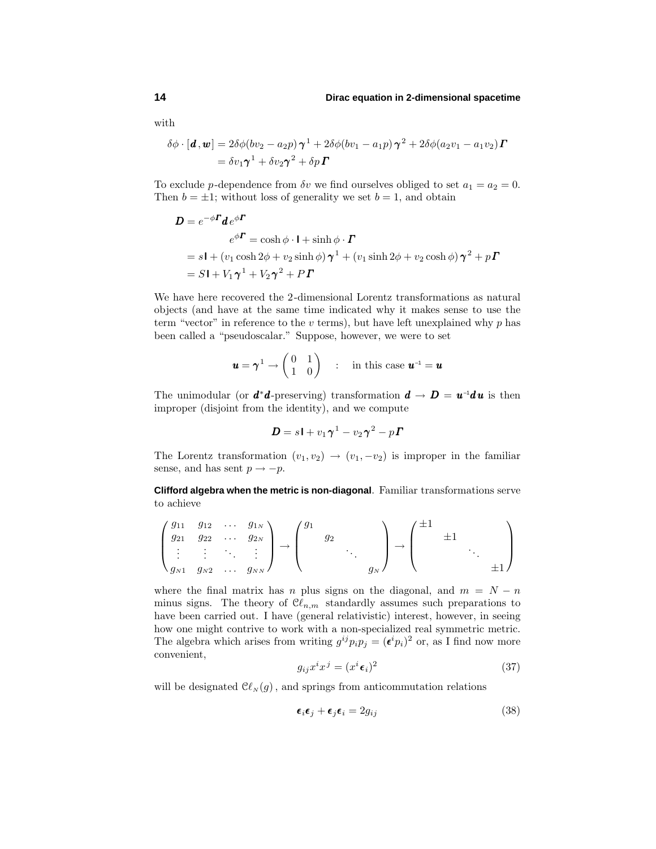with

$$
\delta\phi \cdot [\boldsymbol{d}, \boldsymbol{w}] = 2\delta\phi(bv_2 - a_2p)\boldsymbol{\gamma}^1 + 2\delta\phi(bv_1 - a_1p)\boldsymbol{\gamma}^2 + 2\delta\phi(a_2v_1 - a_1v_2)\boldsymbol{\varGamma}
$$
  
=  $\delta v_1\boldsymbol{\gamma}^1 + \delta v_2\boldsymbol{\gamma}^2 + \delta p \boldsymbol{\varGamma}$ 

To exclude *p*-dependence from  $\delta v$  we find ourselves obliged to set  $a_1 = a_2 = 0$ . Then  $b = \pm 1$ ; without loss of generality we set  $b = 1$ , and obtain

$$
\mathbf{D} = e^{-\phi \mathbf{\Gamma}} \mathbf{d} e^{\phi \mathbf{\Gamma}}
$$
  
\n
$$
e^{\phi \mathbf{\Gamma}} = \cosh \phi \cdot \mathbf{I} + \sinh \phi \cdot \mathbf{\Gamma}
$$
  
\n
$$
= s\mathbf{I} + (v_1 \cosh 2\phi + v_2 \sinh \phi) \gamma^1 + (v_1 \sinh 2\phi + v_2 \cosh \phi) \gamma^2 + p\mathbf{\Gamma}
$$
  
\n
$$
= S\mathbf{I} + V_1 \gamma^1 + V_2 \gamma^2 + P\mathbf{\Gamma}
$$

We have here recovered the 2-dimensional Lorentz transformations as natural objects (and have at the same time indicated why it makes sense to use the term "vector" in reference to the *v* terms), but have left unexplained why *p* has been called a "pseudoscalar." Suppose, however, we were to set

$$
\boldsymbol{u} = \boldsymbol{\gamma}^1 \rightarrow \begin{pmatrix} 0 & 1 \\ 1 & 0 \end{pmatrix} \quad : \quad \text{in this case } \boldsymbol{u}^{-1} = \boldsymbol{u}
$$

The unimodular (or  $d^*d$ -preserving) transformation  $d \to D = u^{-1}du$  is then improper (disjoint from the identity), and we compute

$$
\boldsymbol{D}=s\boldsymbol{I}+v_1\boldsymbol{\gamma}^1-v_2\boldsymbol{\gamma}^2-p\boldsymbol{I}
$$

The Lorentz transformation  $(v_1, v_2) \rightarrow (v_1, -v_2)$  is improper in the familiar sense, and has sent  $p \rightarrow -p$ .

**Clifford algebra when the metric is non-diagonal**. Familiar transformations serve to achieve

$$
\begin{pmatrix} g_{11} & g_{12} & \dots & g_{1N} \\ g_{21} & g_{22} & \dots & g_{2N} \\ \vdots & \vdots & \ddots & \vdots \\ g_{N1} & g_{N2} & \dots & g_{NN} \end{pmatrix} \rightarrow \begin{pmatrix} g_1 \\ g_2 \\ \vdots \\ g_N \end{pmatrix} \rightarrow \begin{pmatrix} \pm 1 \\ & \pm 1 \\ & \ddots \\ & & \pm 1 \end{pmatrix}
$$

where the final matrix has *n* plus signs on the diagonal, and  $m = N - n$ minus signs. The theory of  $\mathcal{C}\ell_{n,m}$  standardly assumes such preparations to have been carried out. I have (general relativistic) interest, however, in seeing how one might contrive to work with a non-specialized real symmetric metric. The algebra which arises from writing  $g^{ij}p_ip_j = (\epsilon^ip_i)^2$  or, as I find now more convenient,

$$
g_{ij}x^ix^j = (x^i \epsilon_i)^2 \tag{37}
$$

will be designated  $\mathcal{C}\ell_{N}(q)$ , and springs from anticommutation relations

$$
\epsilon_i \epsilon_j + \epsilon_j \epsilon_i = 2g_{ij} \tag{38}
$$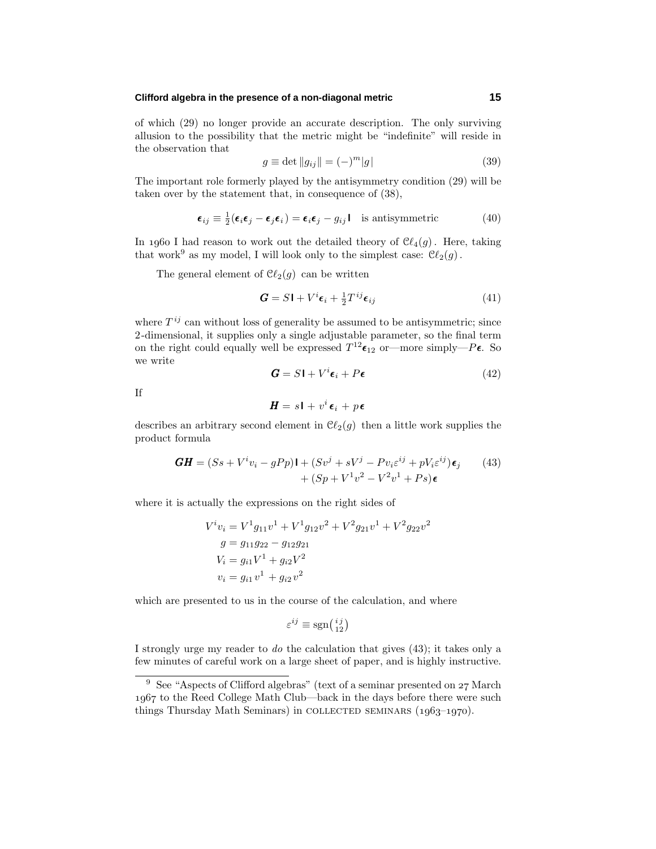# **Clifford algebra in the presence of a non-diagonal metric 15**

of which (29) no longer provide an accurate description. The only surviving allusion to the possibility that the metric might be "indefinite" will reside in the observation that

$$
g \equiv \det ||g_{ij}|| = (-)^{m} |g| \tag{39}
$$

The important role formerly played by the antisymmetry condition (29) will be taken over by the statement that, in consequence of (38),

$$
\epsilon_{ij} \equiv \frac{1}{2} (\epsilon_i \epsilon_j - \epsilon_j \epsilon_i) = \epsilon_i \epsilon_j - g_{ij} \mathbf{I} \text{ is antisymmetric} \tag{40}
$$

In 1960 I had reason to work out the detailed theory of  $C\ell_4(g)$ . Here, taking that work<sup>9</sup> as my model, I will look only to the simplest case:  $\mathcal{C}\ell_2(g)$ .

The general element of  $\mathcal{C}\ell_2(g)$  can be written

$$
\mathbf{G} = S\mathbf{I} + V^i \boldsymbol{\epsilon}_i + \frac{1}{2} T^{ij} \boldsymbol{\epsilon}_{ij} \tag{41}
$$

where  $T^{ij}$  can without loss of generality be assumed to be antisymmetric; since 2-dimensional, it supplies only a single adjustable parameter, so the final term on the right could equally well be expressed  $T^{12}\epsilon_{12}$  or—more simply— $P\epsilon$ . So we write

$$
\mathbf{G} = S\mathbf{I} + V^i \boldsymbol{\epsilon}_i + P \boldsymbol{\epsilon} \tag{42}
$$

If

$$
\boldsymbol{H} = s\boldsymbol{I} + v^i \boldsymbol{\epsilon}_i + p \boldsymbol{\epsilon}
$$

describes an arbitrary second element in  $\mathcal{C}\ell_2(g)$  then a little work supplies the product formula

$$
GH = (Ss + V^iv_i - gPp)\mathbf{I} + (Sv^j + sV^j - Pv_i\varepsilon^{ij} + pV_i\varepsilon^{ij})\epsilon_j
$$
  
+ 
$$
(Sp + V^1v^2 - V^2v^1 + Ps)\epsilon
$$
 (43)

where it is actually the expressions on the right sides of

$$
V^{i}v_{i} = V^{1}g_{11}v^{1} + V^{1}g_{12}v^{2} + V^{2}g_{21}v^{1} + V^{2}g_{22}v^{2}
$$
  
\n
$$
g = g_{11}g_{22} - g_{12}g_{21}
$$
  
\n
$$
V_{i} = g_{i1}V^{1} + g_{i2}V^{2}
$$
  
\n
$$
v_{i} = g_{i1}v^{1} + g_{i2}v^{2}
$$

which are presented to us in the course of the calculation, and where

$$
\varepsilon^{ij} \equiv \text{sgn}\left(\begin{smallmatrix} ij\\12 \end{smallmatrix}\right)
$$

I strongly urge my reader to do the calculation that gives (43); it takes only a few minutes of careful work on a large sheet of paper, and is highly instructive.

<sup>&</sup>lt;sup>9</sup> See "Aspects of Clifford algebras" (text of a seminar presented on  $27$  March to the Reed College Math Club—back in the days before there were such things Thursday Math Seminars) in COLLECTED SEMINARS  $(1963-1970)$ .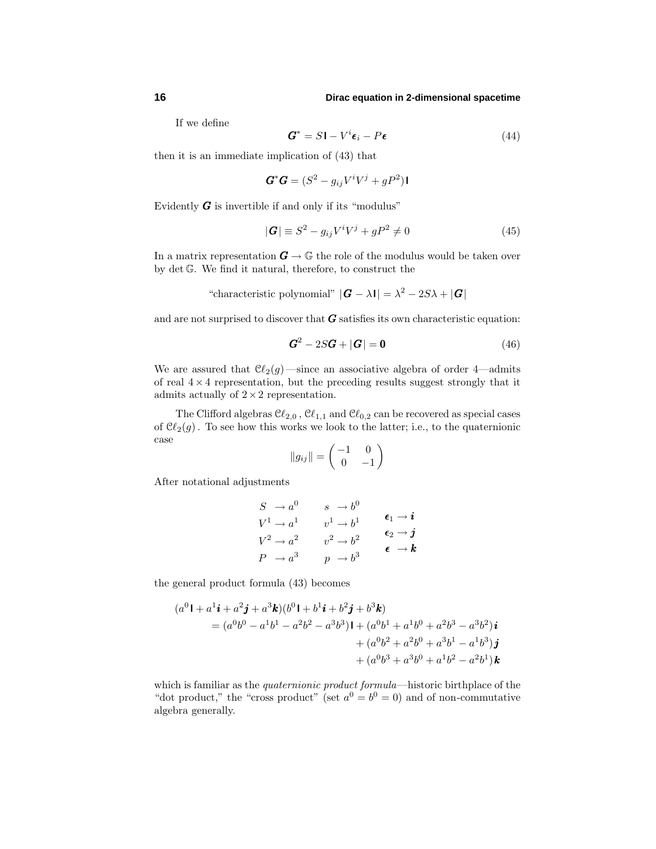If we define

$$
G^* = S1 - V^i \epsilon_i - P \epsilon \tag{44}
$$

then it is an immediate implication of (43) that

$$
\boldsymbol{G}^*\boldsymbol{G} = (S^2 - g_{ij}V^iV^j + gP^2)\mathbf{I}
$$

Evidently *G* is invertible if and only if its "modulus"

$$
|\mathbf{G}| \equiv S^2 - g_{ij} V^i V^j + gP^2 \neq 0 \tag{45}
$$

In a matrix representation  $G \to \mathbb{G}$  the role of the modulus would be taken over by det G. We find it natural, therefore, to construct the

"characteristic polynomial"  $|\mathbf{G} - \lambda \mathbf{I}| = \lambda^2 - 2S\lambda + |\mathbf{G}|$ 

and are not surprised to discover that  $G$  satisfies its own characteristic equation:

$$
G^2 - 2SG + |G| = 0 \tag{46}
$$

We are assured that  $\mathcal{C}\ell_2(g)$  —since an associative algebra of order 4—admits of real  $4 \times 4$  representation, but the preceding results suggest strongly that it admits actually of  $2 \times 2$  representation.

The Clifford algebras  $C\ell_{2,0}$ ,  $C\ell_{1,1}$  and  $C\ell_{0,2}$  can be recovered as special cases of  $\mathcal{C}\ell_2(g)$ . To see how this works we look to the latter; i.e., to the quaternionic case

$$
||g_{ij}|| = \begin{pmatrix} -1 & 0\\ 0 & -1 \end{pmatrix}
$$

After notational adjustments

$$
S \rightarrow a^{0} \qquad s \rightarrow b^{0}
$$
  
\n
$$
V^{1} \rightarrow a^{1} \qquad v^{1} \rightarrow b^{1} \qquad \epsilon_{1} \rightarrow \mathbf{i}
$$
  
\n
$$
V^{2} \rightarrow a^{2} \qquad v^{2} \rightarrow b^{2} \qquad \epsilon_{2} \rightarrow \mathbf{j}
$$
  
\n
$$
P \rightarrow a^{3} \qquad p \rightarrow b^{3} \qquad \epsilon \rightarrow \mathbf{k}
$$

the general product formula (43) becomes

$$
(a^{0}\mathbf{i} + a^{1}\mathbf{i} + a^{2}\mathbf{j} + a^{3}\mathbf{k})(b^{0}\mathbf{i} + b^{1}\mathbf{i} + b^{2}\mathbf{j} + b^{3}\mathbf{k})
$$
  
=  $(a^{0}b^{0} - a^{1}b^{1} - a^{2}b^{2} - a^{3}b^{3})\mathbf{i} + (a^{0}b^{1} + a^{1}b^{0} + a^{2}b^{3} - a^{3}b^{2})\mathbf{i}$   
+  $(a^{0}b^{2} + a^{2}b^{0} + a^{3}b^{1} - a^{1}b^{3})\mathbf{j}$   
+  $(a^{0}b^{3} + a^{3}b^{0} + a^{1}b^{2} - a^{2}b^{1})\mathbf{k}$ 

which is familiar as the *quaternionic product formula*—historic birthplace of the "dot product," the "cross product" (set  $a^0 = b^0 = 0$ ) and of non-commutative algebra generally.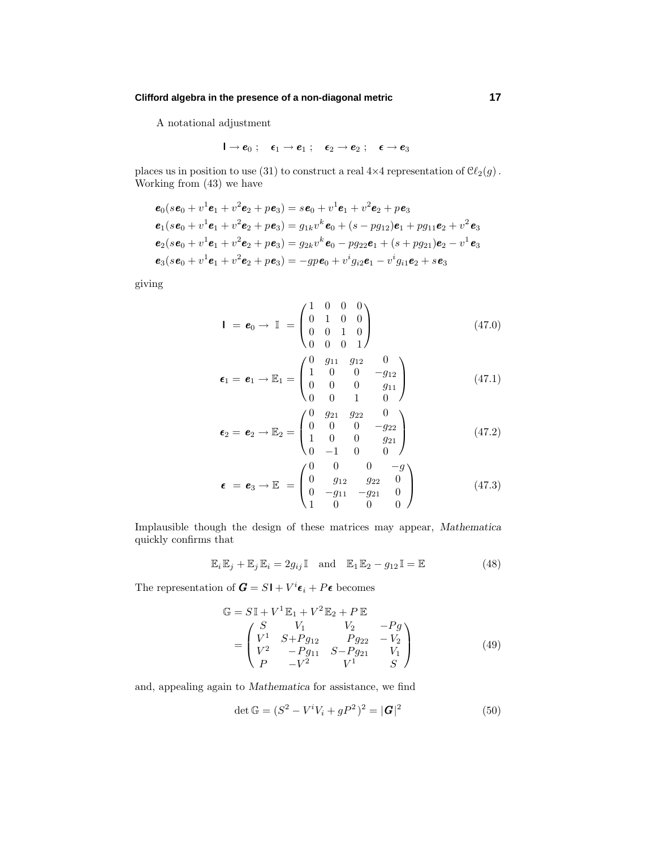# **Clifford algebra in the presence of a non-diagonal metric 17**

A notational adjustment

$$
\mathsf{I} \to \mathbf{e}_0 \ ; \quad \mathbf{\epsilon}_1 \to \mathbf{e}_1 \ ; \quad \mathbf{\epsilon}_2 \to \mathbf{e}_2 \ ; \quad \mathbf{\epsilon} \to \mathbf{e}_3
$$

places us in position to use (31) to construct a real  $4\times4$  representation of  $\mathcal{C}\ell_2(g)$ . Working from (43) we have

$$
e_0(se_0 + v^1e_1 + v^2e_2 + pe_3) = se_0 + v^1e_1 + v^2e_2 + pe_3
$$
  
\n
$$
e_1(se_0 + v^1e_1 + v^2e_2 + pe_3) = g_{1k}v^k e_0 + (s - pg_{12})e_1 + pg_{11}e_2 + v^2e_3
$$
  
\n
$$
e_2(se_0 + v^1e_1 + v^2e_2 + pe_3) = g_{2k}v^k e_0 - pg_{22}e_1 + (s + pg_{21})e_2 - v^1e_3
$$
  
\n
$$
e_3(se_0 + v^1e_1 + v^2e_2 + pe_3) = -gp e_0 + v^ig_{i2}e_1 - v^ig_{i1}e_2 + se_3
$$

giving

$$
\mathbf{I} = \mathbf{e}_0 \rightarrow \mathbb{I} = \begin{pmatrix} 1 & 0 & 0 & 0 \\ 0 & 1 & 0 & 0 \\ 0 & 0 & 1 & 0 \\ 0 & 0 & 0 & 1 \end{pmatrix} \tag{47.0}
$$

$$
\boldsymbol{\epsilon}_1 = \boldsymbol{e}_1 \rightarrow \mathbb{E}_1 = \begin{pmatrix} 0 & g_{11} & g_{12} & 0 \\ 1 & 0 & 0 & -g_{12} \\ 0 & 0 & 0 & g_{11} \\ 0 & 0 & 1 & 0 \end{pmatrix} \tag{47.1}
$$

$$
\epsilon_2 = \mathbf{e}_2 \rightarrow \mathbb{E}_2 = \begin{pmatrix} 0 & g_{21} & g_{22} & 0 \\ 0 & 0 & 0 & -g_{22} \\ 1 & 0 & 0 & g_{21} \\ 0 & -1 & 0 & 0 \end{pmatrix}
$$
 (47.2)

$$
\boldsymbol{\epsilon} = \boldsymbol{e}_3 \rightarrow \mathbb{E} = \begin{pmatrix} 0 & 0 & 0 & -g \\ 0 & g_{12} & g_{22} & 0 \\ 0 & -g_{11} & -g_{21} & 0 \\ 1 & 0 & 0 & 0 \end{pmatrix} \tag{47.3}
$$

Implausible though the design of these matrices may appear, *Mathematica* quickly confirms that

$$
\mathbb{E}_i \mathbb{E}_j + \mathbb{E}_j \mathbb{E}_i = 2g_{ij} \mathbb{I} \text{ and } \mathbb{E}_1 \mathbb{E}_2 - g_{12} \mathbb{I} = \mathbb{E}
$$
 (48)

The representation of  $\mathbf{G} = S \mathbf{I} + V^i \boldsymbol{\epsilon}_i + P \boldsymbol{\epsilon}$  becomes

$$
\mathbb{G} = S\mathbb{I} + V^{1}\mathbb{E}_{1} + V^{2}\mathbb{E}_{2} + P\mathbb{E}
$$
\n
$$
= \begin{pmatrix}\nS & V_{1} & V_{2} & -Pg \\
V^{1} & S + Pg_{12} & Pg_{22} & -V_{2} \\
V^{2} & -Pg_{11} & S - Pg_{21} & V_{1} \\
P & -V^{2} & V^{1} & S\n\end{pmatrix}
$$
\n(49)

and, appealing again to *Mathematica* for assistance, we find

$$
\det \mathbb{G} = (S^2 - V^i V_i + gP^2)^2 = |\mathbf{G}|^2 \tag{50}
$$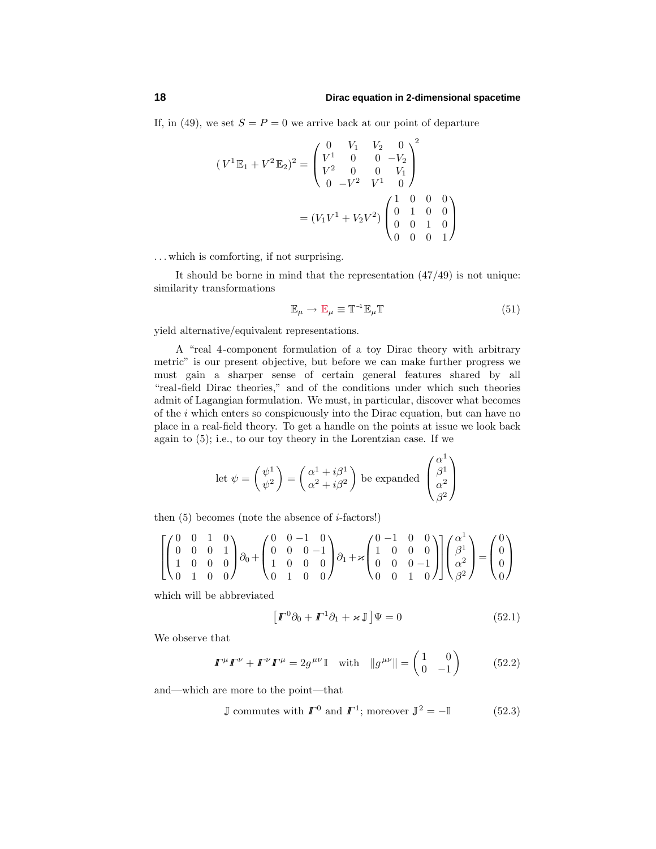If, in (49), we set  $S = P = 0$  we arrive back at our point of departure

$$
(V^{1} \mathbb{E}_{1} + V^{2} \mathbb{E}_{2})^{2} = \begin{pmatrix} 0 & V_{1} & V_{2} & 0 \\ V^{1} & 0 & 0 & -V_{2} \\ V^{2} & 0 & 0 & V_{1} \\ 0 & -V^{2} & V^{1} & 0 \end{pmatrix} = (V_{1}V^{1} + V_{2}V^{2}) \begin{pmatrix} 1 & 0 & 0 & 0 \\ 0 & 1 & 0 & 0 \\ 0 & 0 & 1 & 0 \\ 0 & 0 & 0 & 1 \end{pmatrix}
$$

*...* which is comforting, if not surprising.

It should be borne in mind that the representation (47/49) is not unique: similarity transformations

$$
\mathbb{E}_{\mu} \to \mathbb{E}_{\mu} \equiv \mathbb{T}^{-1} \mathbb{E}_{\mu} \mathbb{T}
$$
 (51)

yield alternative/equivalent representations.

A "real 4-component formulation of a toy Dirac theory with arbitrary metric" is our present objective, but before we can make further progress we must gain a sharper sense of certain general features shared by all "real-field Dirac theories," and of the conditions under which such theories admit of Lagangian formulation. We must, in particular, discover what becomes of the *i* which enters so conspicuously into the Dirac equation, but can have no place in a real-field theory. To get a handle on the points at issue we look back again to (5); i.e., to our toy theory in the Lorentzian case. If we

let 
$$
\psi = \begin{pmatrix} \psi^1 \\ \psi^2 \end{pmatrix} = \begin{pmatrix} \alpha^1 + i\beta^1 \\ \alpha^2 + i\beta^2 \end{pmatrix}
$$
 be expanded  $\begin{pmatrix} \alpha^1 \\ \beta^1 \\ \alpha^2 \\ \beta^2 \end{pmatrix}$ 

then (5) becomes (note the absence of *i*-factors!)

$$
\left[ \begin{pmatrix} 0 & 0 & 1 & 0 \\ 0 & 0 & 0 & 1 \\ 1 & 0 & 0 & 0 \\ 0 & 1 & 0 & 0 \end{pmatrix} \partial_0 + \begin{pmatrix} 0 & 0 & -1 & 0 \\ 0 & 0 & 0 & -1 \\ 1 & 0 & 0 & 0 \\ 0 & 1 & 0 & 0 \end{pmatrix} \partial_1 + \varkappa \begin{pmatrix} 0 & -1 & 0 & 0 \\ 1 & 0 & 0 & 0 \\ 0 & 0 & 0 & -1 \\ 0 & 0 & 1 & 0 \end{pmatrix} \right] \begin{pmatrix} \alpha^1 \\ \beta^1 \\ \alpha^2 \\ \beta^2 \end{pmatrix} = \begin{pmatrix} 0 \\ 0 \\ 0 \\ 0 \end{pmatrix}
$$

which will be abbreviated

$$
\left[\boldsymbol{\varGamma}^{0}\partial_{0} + \boldsymbol{\varGamma}^{1}\partial_{1} + \varkappa \mathbb{J}\right]\Psi = 0 \tag{52.1}
$$

We observe that

$$
\mathbf{\Gamma}^{\mu}\mathbf{\Gamma}^{\nu} + \mathbf{\Gamma}^{\nu}\mathbf{\Gamma}^{\mu} = 2g^{\mu\nu}\mathbb{I} \quad \text{with} \quad ||g^{\mu\nu}|| = \begin{pmatrix} 1 & 0 \\ 0 & -1 \end{pmatrix} \tag{52.2}
$$

and—which are more to the point—that

$$
\mathbb{J} \text{ commutes with } \mathbf{\Gamma}^0 \text{ and } \mathbf{\Gamma}^1; \text{ moreover } \mathbb{J}^2 = -\mathbb{I}
$$
 (52.3)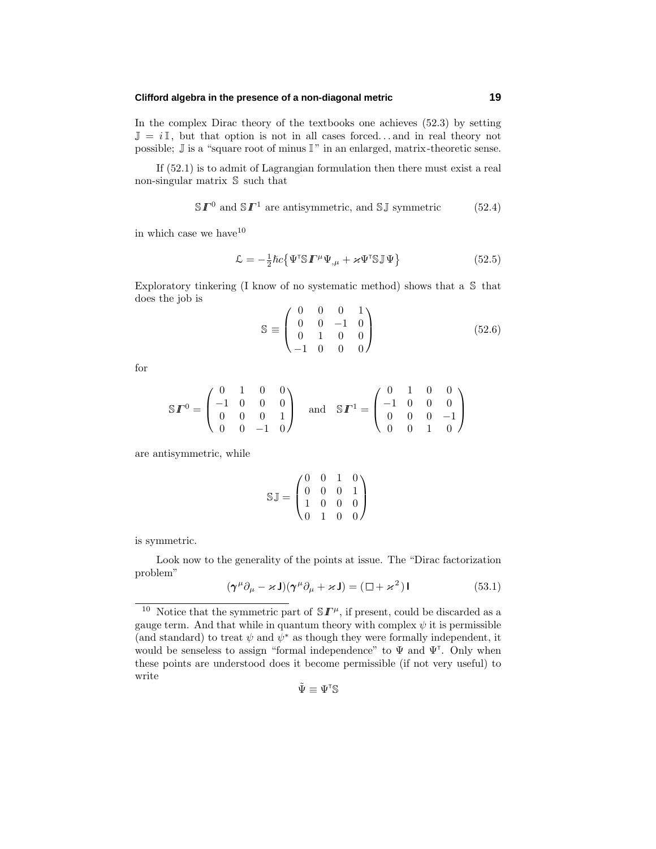# **Clifford algebra in the presence of a non-diagonal metric 19**

In the complex Dirac theory of the textbooks one achieves (52.3) by setting  $\mathbb{J} = i\mathbb{I}$ , but that option is not in all cases forced...and in real theory not possible;  $\mathbb J$  is a "square root of minus  $\mathbb I$ " in an enlarged, matrix-theoretic sense.

If (52.1) is to admit of Lagrangian formulation then there must exist a real non-singular matrix S such that

$$
\mathbb{S} \mathbb{\Gamma}^0 \text{ and } \mathbb{S} \mathbb{\Gamma}^1 \text{ are antisymmetric, and } \mathbb{S} \mathbb{J} \text{ symmetric}
$$
 (52.4)

in which case we have  $10$ 

$$
\mathcal{L} = -\frac{1}{2}\hbar c \left\{ \Psi^{\mathsf{T}}\mathbb{S}\,\mathbf{\Gamma}^{\mu}\Psi_{,\mu} + \varkappa \Psi^{\mathsf{T}}\mathbb{S}\mathbb{J}\Psi \right\} \tag{52.5}
$$

Exploratory tinkering (I know of no systematic method) shows that a S that does the job is

$$
\mathbb{S} \equiv \begin{pmatrix} 0 & 0 & 0 & 1 \\ 0 & 0 & -1 & 0 \\ 0 & 1 & 0 & 0 \\ -1 & 0 & 0 & 0 \end{pmatrix}
$$
 (52.6)

for

$$
\mathbb{S}\mathbf{\Gamma}^0 = \begin{pmatrix} 0 & 1 & 0 & 0 \\ -1 & 0 & 0 & 0 \\ 0 & 0 & 0 & 1 \\ 0 & 0 & -1 & 0 \end{pmatrix} \text{ and } \mathbb{S}\mathbf{\Gamma}^1 = \begin{pmatrix} 0 & 1 & 0 & 0 \\ -1 & 0 & 0 & 0 \\ 0 & 0 & 0 & -1 \\ 0 & 0 & 1 & 0 \end{pmatrix}
$$

are antisymmetric, while

$$
\mathbb{S}\mathbb{J} = \begin{pmatrix} 0 & 0 & 1 & 0 \\ 0 & 0 & 0 & 1 \\ 1 & 0 & 0 & 0 \\ 0 & 1 & 0 & 0 \end{pmatrix}
$$

is symmetric.

Look now to the generality of the points at issue. The "Dirac factorization problem"

$$
(\gamma^{\mu}\partial_{\mu} - \varkappa \mathbf{J})(\gamma^{\mu}\partial_{\mu} + \varkappa \mathbf{J}) = (\Box + \varkappa^{2})\mathbf{I}
$$
 (53.1)

$$
\tilde{\Psi} \equiv \Psi^{\rm T} \mathbb{S}
$$

<sup>&</sup>lt;sup>10</sup> Notice that the symmetric part of  $\mathcal{S}I^{\mu}$ , if present, could be discarded as a gauge term. And that while in quantum theory with complex  $\psi$  it is permissible (and standard) to treat  $\psi$  and  $\psi^*$  as though they were formally independent, it would be senseless to assign "formal independence" to  $\Psi$  and  $\Psi^{\dagger}$ . Only when these points are understood does it become permissible (if not very useful) to write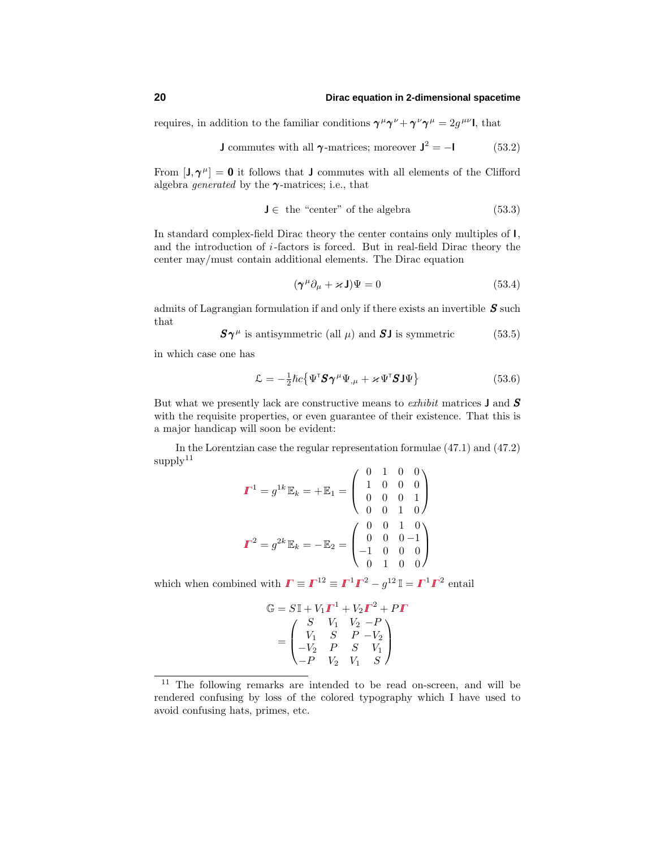requires, in addition to the familiar conditions  $\gamma^{\mu}\gamma^{\nu}+\gamma^{\nu}\gamma^{\mu}=2g^{\mu\nu}$ **I**, that

**J** commutes with all 
$$
\gamma
$$
-matrices; moreover  $J^2 = -I$  (53.2)

From  $[\mathbf{J}, \boldsymbol{\gamma}^{\mu}] = \mathbf{0}$  it follows that **J** commutes with all elements of the Clifford algebra generated by the *γ* -matrices; i.e., that

$$
\mathbf{J} \in \text{ the "center" of the algebra} \tag{53.3}
$$

In standard complex-field Dirac theory the center contains only multiples of **I**, and the introduction of *i*-factors is forced. But in real-field Dirac theory the center may/must contain additional elements. The Dirac equation

$$
(\gamma^{\mu}\partial_{\mu} + \varkappa \mathbf{J})\Psi = 0 \tag{53.4}
$$

admits of Lagrangian formulation if and only if there exists an invertible *S* such that

$$
\mathbf{S}\boldsymbol{\gamma}^{\mu}
$$
 is antisymmetric (all  $\mu$ ) and  $\mathbf{S}\mathbf{J}$  is symmetric (53.5)

in which case one has

$$
\mathcal{L} = -\frac{1}{2}\hbar c \left\{ \Psi^{\mathsf{T}} \mathbf{S} \boldsymbol{\gamma}^{\mu} \Psi_{,\mu} + \varkappa \Psi^{\mathsf{T}} \mathbf{S} \mathbf{J} \Psi \right\} \tag{53.6}
$$

But what we presently lack are constructive means to exhibit matrices **J** and *S* with the requisite properties, or even guarantee of their existence. That this is a major handicap will soon be evident:

In the Lorentzian case the regular representation formulae (47.1) and (47.2)  $supply<sup>11</sup>$ 

$$
\mathbf{I}^{1} = g^{1k} \mathbb{E}_{k} = +\mathbb{E}_{1} = \begin{pmatrix} 0 & 1 & 0 & 0 \\ 1 & 0 & 0 & 0 \\ 0 & 0 & 0 & 1 \\ 0 & 0 & 1 & 0 \end{pmatrix}
$$

$$
\mathbf{I}^{2} = g^{2k} \mathbb{E}_{k} = -\mathbb{E}_{2} = \begin{pmatrix} 0 & 0 & 1 & 0 \\ 0 & 0 & 0 & 1 \\ -1 & 0 & 0 & 0 \\ 0 & 1 & 0 & 0 \end{pmatrix}
$$

which when combined with  $\mathbf{\Gamma} \equiv \mathbf{\Gamma}^{12} \equiv \mathbf{\Gamma}^1 \mathbf{\Gamma}^2 - g^{12} \mathbb{I} = \mathbf{\Gamma}^1 \mathbf{\Gamma}^2$  entail

$$
\mathbb{G} = S\mathbb{I} + V_1 \mathbf{\Gamma}^1 + V_2 \mathbf{\Gamma}^2 + P\mathbf{\Gamma}
$$

$$
= \begin{pmatrix} S & V_1 & V_2 & -P \\ V_1 & S & P & -V_2 \\ -V_2 & P & S & V_1 \\ -P & V_2 & V_1 & S \end{pmatrix}
$$

<sup>&</sup>lt;sup>11</sup> The following remarks are intended to be read on-screen, and will be rendered confusing by loss of the colored typography which I have used to avoid confusing hats, primes, etc.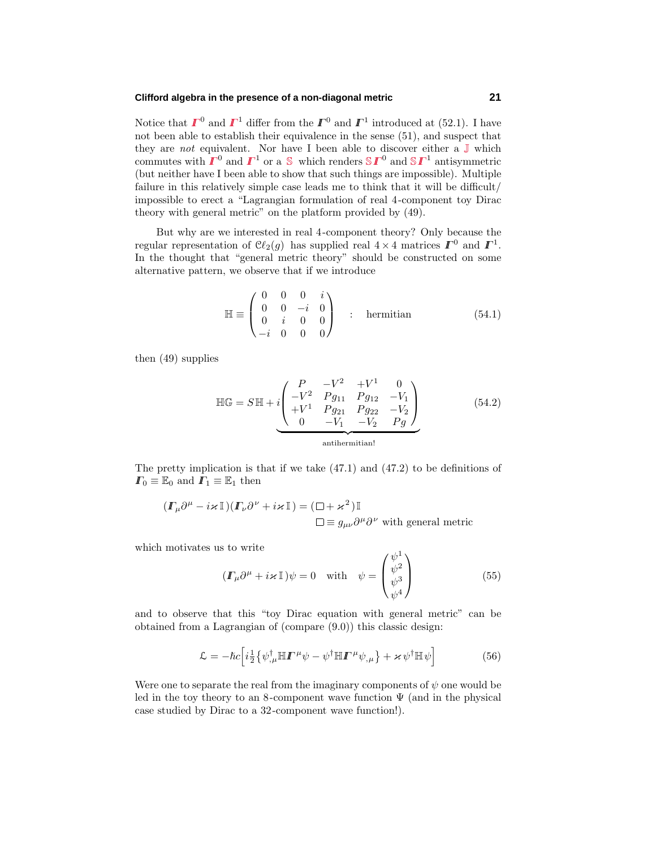#### **Clifford algebra in the presence of a non-diagonal metric 21**

Notice that  $I^0$  and  $I^1$  differ from the  $I^0$  and  $I^1$  introduced at (52.1). I have not been able to establish their equivalence in the sense (51), and suspect that they are *not* equivalent. Nor have I been able to discover either a  $\mathbb{J}$  which commutes with  $I\!\!I^0$  and  $I\!\!I^1$  or a  $\mathcal S$  which renders  $\mathcal S\!\!I^0$  and  $\mathcal S\!\!I^1$  antisymmetric (but neither have I been able to show that such things are impossible). Multiple failure in this relatively simple case leads me to think that it will be difficult/ impossible to erect a "Lagrangian formulation of real 4-component toy Dirac theory with general metric" on the platform provided by (49).

But why are we interested in real 4-component theory? Only because the regular representation of  $\mathcal{C}\ell_2(g)$  has supplied real  $4 \times 4$  matrices  $\mathbb{F}^0$  and  $\mathbb{F}^1$ . In the thought that "general metric theory" should be constructed on some alternative pattern, we observe that if we introduce

$$
\mathbb{H} \equiv \begin{pmatrix} 0 & 0 & 0 & i \\ 0 & 0 & -i & 0 \\ 0 & i & 0 & 0 \\ -i & 0 & 0 & 0 \end{pmatrix} : hermitian
$$
 (54.1)

then (49) supplies

$$
\mathbb{HG} = S \mathbb{H} + i \begin{pmatrix} P & -V^2 & +V^1 & 0 \\ -V^2 & Pg_{11} & Pg_{12} & -V_1 \\ +V^1 & Pg_{21} & Pg_{22} & -V_2 \\ 0 & -V_1 & -V_2 & Pg \end{pmatrix}
$$
(54.2)  
antihermitian!

The pretty implication is that if we take (47.1) and (47.2) to be definitions of  $\mathbf{I}\mathbf{F}_0 \equiv \mathbb{E}_0$  and  $\mathbf{I}\mathbf{F}_1 \equiv \mathbb{E}_1$  then

$$
(\mathbf{\Gamma}_{\mu}\partial^{\mu} - i\varkappa \mathbb{I})(\mathbf{\Gamma}_{\nu}\partial^{\nu} + i\varkappa \mathbb{I}) = (\Box + \varkappa^{2})\mathbb{I}
$$
  

$$
\Box \equiv g_{\mu\nu}\partial^{\mu}\partial^{\nu} \text{ with general metric}
$$

which motivates us to write

$$
(\mathbf{\Gamma}_{\mu}\partial^{\mu} + i\varkappa \mathbb{I})\psi = 0 \quad \text{with} \quad \psi = \begin{pmatrix} \psi^1\\ \psi^2\\ \psi^3\\ \psi^4 \end{pmatrix}
$$
 (55)

and to observe that this "toy Dirac equation with general metric" can be obtained from a Lagrangian of (compare (9.0)) this classic design:

$$
\mathcal{L} = -\hbar c \Big[ i \frac{1}{2} \big\{ \psi^{\dagger}_{,\mu} \mathbb{H} \mathbf{\Gamma}^{\mu} \psi - \psi^{\dagger} \mathbb{H} \mathbf{\Gamma}^{\mu} \psi_{,\mu} \big\} + \varkappa \psi^{\dagger} \mathbb{H} \psi \Big] \tag{56}
$$

Were one to separate the real from the imaginary components of  $\psi$  one would be led in the toy theory to an 8-component wave function  $\Psi$  (and in the physical case studied by Dirac to a 32-component wave function!).